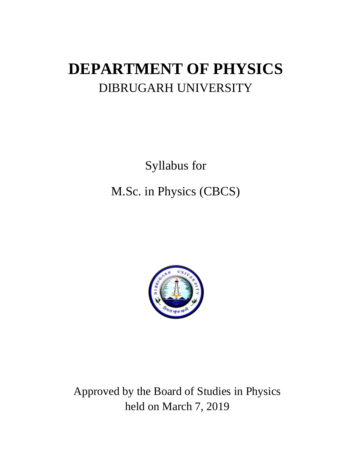# **DEPARTMENT OF PHYSICS** DIBRUGARH UNIVERSITY

Syllabus for M.Sc. in Physics (CBCS)



Approved by the Board of Studies in Physics held on March 7, 2019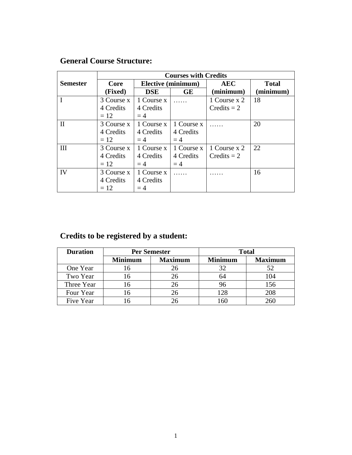# **General Course Structure:**

|                 | <b>Courses with Credits</b> |            |                    |               |              |
|-----------------|-----------------------------|------------|--------------------|---------------|--------------|
| <b>Semester</b> | Core                        |            | Elective (minimum) | <b>AEC</b>    | <b>Total</b> |
|                 | (Fixed)                     | <b>DSE</b> | <b>GE</b>          | (minimum)     | (minimum)    |
|                 | 3 Course x                  | 1 Course x |                    | 1 Course x 2  | 18           |
|                 | 4 Credits                   | 4 Credits  |                    | $Credits = 2$ |              |
|                 | $= 12$                      | $=4$       |                    |               |              |
| $\mathbf{I}$    | 3 Course x                  | 1 Course x | 1 Course x         |               | 20           |
|                 | 4 Credits                   | 4 Credits  | 4 Credits          |               |              |
|                 | $= 12$                      | $=4$       | $=4$               |               |              |
| III             | 3 Course x                  | 1 Course x | 1 Course x         | 1 Course x 2  | 22           |
|                 | 4 Credits                   | 4 Credits  | 4 Credits          | Credits $= 2$ |              |
|                 | $=12$                       | $=4$       | $=4$               |               |              |
| IV              | 3 Course x                  | 1 Course x |                    |               | 16           |
|                 | 4 Credits                   | 4 Credits  |                    |               |              |
|                 | $= 12$                      | $=4$       |                    |               |              |

# **Credits to be registered by a student:**

| <b>Duration</b> | <b>Per Semester</b> |                |                | <b>Total</b>   |
|-----------------|---------------------|----------------|----------------|----------------|
|                 | <b>Minimum</b>      | <b>Maximum</b> | <b>Minimum</b> | <b>Maximum</b> |
| One Year        | 16                  | 26             | 32             |                |
| Two Year        | 16                  |                | 64             | 104            |
| Three Year      | 16                  |                | 96             | 156            |
| Four Year       | l6                  |                | 128            | 208            |
| Five Year       |                     |                | 16C            |                |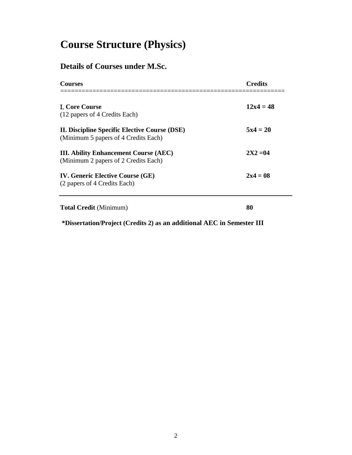# **Course Structure (Physics)**

# **Details of Courses under M.Sc.**

| <b>Courses</b>                                                                        | <b>Credits</b> |
|---------------------------------------------------------------------------------------|----------------|
| <b>I. Core Course</b><br>(12 papers of 4 Credits Each)                                | $12x4 = 48$    |
| II. Discipline Specific Elective Course (DSE)<br>(Minimum 5 papers of 4 Credits Each) | $5x4 = 20$     |
| <b>III. Ability Enhancement Course (AEC)</b><br>(Minimum 2 papers of 2 Credits Each)  | $2X2 = 04$     |
| <b>IV. Generic Elective Course (GE)</b><br>(2 papers of 4 Credits Each)               | $2x4 = 08$     |
| <b>Total Credit</b> (Minimum)                                                         | 80             |

**\*Dissertation/Project (Credits 2) as an additional AEC in Semester III**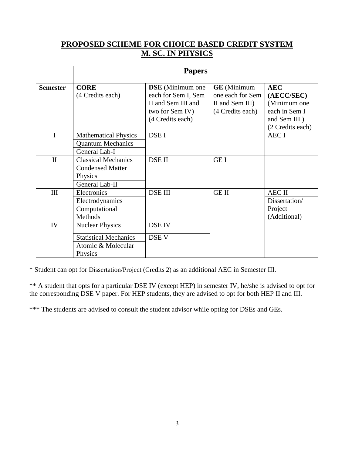# **PROPOSED SCHEME FOR CHOICE BASED CREDIT SYSTEM M. SC. IN PHYSICS**

|                 |                                                                                         | <b>Papers</b>                                                                                                |                                                                               |                                                                                               |
|-----------------|-----------------------------------------------------------------------------------------|--------------------------------------------------------------------------------------------------------------|-------------------------------------------------------------------------------|-----------------------------------------------------------------------------------------------|
| <b>Semester</b> | <b>CORE</b><br>(4 Credits each)                                                         | <b>DSE</b> (Minimum one)<br>each for Sem I, Sem<br>II and Sem III and<br>two for Sem IV)<br>(4 Credits each) | <b>GE</b> (Minimum<br>one each for Sem<br>II and Sem III)<br>(4 Credits each) | <b>AEC</b><br>(AECC/SEC)<br>(Minimum one<br>each in Sem I<br>and Sem III)<br>(2 Credits each) |
| $\mathbf{I}$    | <b>Mathematical Physics</b><br><b>Quantum Mechanics</b><br>General Lab-I                | DSE I                                                                                                        |                                                                               | <b>AEC I</b>                                                                                  |
| $\mathbf{I}$    | <b>Classical Mechanics</b><br><b>Condensed Matter</b><br>Physics<br>General Lab-II      | DSE II                                                                                                       | <b>GEI</b>                                                                    |                                                                                               |
| III             | Electronics<br>Electrodynamics<br>Computational<br><b>Methods</b>                       | <b>DSE III</b>                                                                                               | <b>GEII</b>                                                                   | <b>AEC II</b><br>Dissertation/<br>Project<br>(Additional)                                     |
| IV              | <b>Nuclear Physics</b><br><b>Statistical Mechanics</b><br>Atomic & Molecular<br>Physics | <b>DSE IV</b><br>DSE V                                                                                       |                                                                               |                                                                                               |

\* Student can opt for Dissertation/Project (Credits 2) as an additional AEC in Semester III.

\*\* A student that opts for a particular DSE IV (except HEP) in semester IV, he/she is advised to opt for the corresponding DSE V paper. For HEP students, they are advised to opt for both HEP II and III.

\*\*\* The students are advised to consult the student advisor while opting for DSEs and GEs.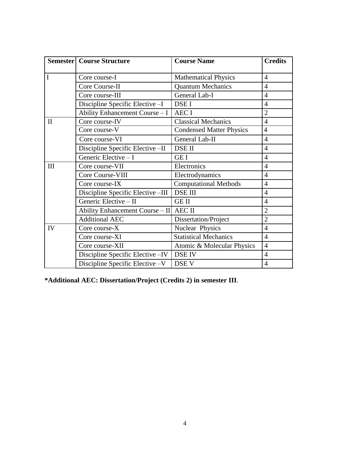|              | <b>Semester   Course Structure</b> | <b>Course Name</b>              | <b>Credits</b> |
|--------------|------------------------------------|---------------------------------|----------------|
|              |                                    |                                 |                |
| $\mathbf I$  | Core course-I                      | <b>Mathematical Physics</b>     | $\overline{4}$ |
|              | Core Course-II                     | <b>Quantum Mechanics</b>        | $\overline{4}$ |
|              | Core course-III                    | General Lab-I                   | $\overline{4}$ |
|              | Discipline Specific Elective -I    | DSE I                           | $\overline{4}$ |
|              | Ability Enhancement Course - I     | <b>AECI</b>                     | $\overline{2}$ |
| $\mathbf{I}$ | Core course-IV                     | <b>Classical Mechanics</b>      | $\overline{4}$ |
|              | Core course-V                      | <b>Condensed Matter Physics</b> | $\overline{4}$ |
|              | Core course-VI                     | General Lab-II                  | $\overline{4}$ |
|              | Discipline Specific Elective -II   | <b>DSE II</b>                   | $\overline{4}$ |
|              | Generic Elective - I               | <b>GEI</b>                      | $\overline{4}$ |
| III          | Core course-VII                    | Electronics                     | $\overline{4}$ |
|              | Core Course-VIII                   | Electrodynamics                 | $\overline{4}$ |
|              | Core course-IX                     | <b>Computational Methods</b>    | $\overline{4}$ |
|              | Discipline Specific Elective -III  | <b>DSE III</b>                  | $\overline{4}$ |
|              | Generic Elective - II              | <b>GE II</b>                    | $\overline{4}$ |
|              | Ability Enhancement Course - II    | <b>AEC II</b>                   | $\overline{2}$ |
|              | <b>Additional AEC</b>              | Dissertation/Project            | $\overline{2}$ |
| IV           | Core course-X                      | Nuclear Physics                 | $\overline{4}$ |
|              | Core course-XI                     | <b>Statistical Mechanics</b>    | $\overline{4}$ |
|              | Core course-XII                    | Atomic & Molecular Physics      | $\overline{4}$ |
|              | Discipline Specific Elective - IV  | <b>DSE IV</b>                   | $\overline{4}$ |
|              | Discipline Specific Elective -V    | DSE V                           | $\overline{4}$ |

**\*Additional AEC: Dissertation/Project (Credits 2) in semester III**.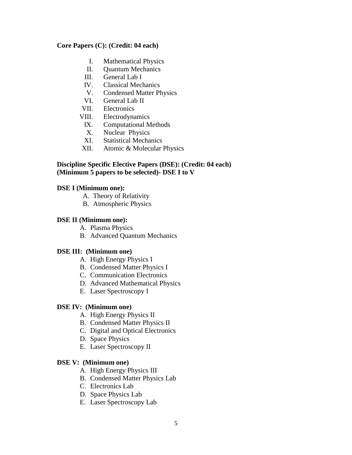## **Core Papers (C): (Credit: 04 each)**

- I. Mathematical Physics
- II. Quantum Mechanics
- III. General Lab I
- IV. Classical Mechanics
- V. Condensed Matter Physics
- VI. General Lab II
- VII. Electronics
- VIII. Electrodynamics
- IX. Computational Methods
- X. Nuclear Physics
- XI. Statistical Mechanics
- XII. Atomic & Molecular Physics

## **Discipline Specific Elective Papers (DSE): (Credit: 04 each) (Minimum 5 papers to be selected)- DSE I to V**

## **DSE I (Minimum one):**

- A. Theory of Relativity
- B. Atmospheric Physics

## **DSE II (Minimum one):**

- A. Plasma Physics
- B. Advanced Quantum Mechanics

# **DSE III: (Minimum one)**

- A. High Energy Physics I
- B. Condensed Matter Physics I
- C. Communication Electronics
- D. Advanced Mathematical Physics
- E. Laser Spectroscopy I

## **DSE IV: (Minimum one)**

- A. High Energy Physics II
- B. Condensed Matter Physics II
- C. Digital and Optical Electronics
- D. Space Physics
- E. Laser Spectroscopy II

## **DSE V: (Minimum one)**

- A. High Energy Physics III
- B. Condensed Matter Physics Lab
- C. Electronics Lab
- D. Space Physics Lab
- E. Laser Spectroscopy Lab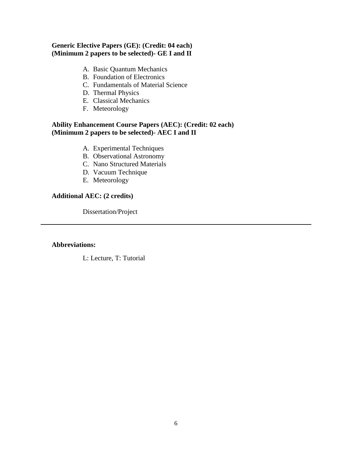# **Generic Elective Papers (GE): (Credit: 04 each) (Minimum 2 papers to be selected)- GE I and II**

- A. Basic Quantum Mechanics
- B. Foundation of Electronics
- C. Fundamentals of Material Science
- D. Thermal Physics
- E. Classical Mechanics
- F. Meteorology

#### **Ability Enhancement Course Papers (AEC): (Credit: 02 each) (Minimum 2 papers to be selected)- AEC I and II**

- A. Experimental Techniques
- B. Observational Astronomy
- C. Nano Structured Materials
- D. Vacuum Technique
- E. Meteorology

## **Additional AEC: (2 credits)**

Dissertation/Project

## **Abbreviations:**

L: Lecture, T: Tutorial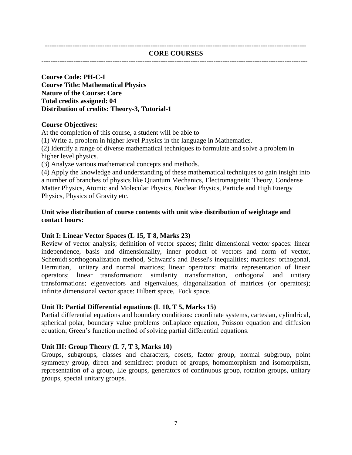**------------------------------------------------------------------------------------------------------------------**

#### **CORE COURSES**

**--------------------------------------------------------------------------------------------------------------------**

**Course Code: PH-C-I Course Title: Mathematical Physics Nature of the Course: Core Total credits assigned: 04 Distribution of credits: Theory-3, Tutorial-1**

#### **Course Objectives:**

At the completion of this course, a student will be able to

(1) Write a. problem in higher level Physics in the language in Mathematics.

(2) Identify a range of diverse mathematical techniques to formulate and solve a problem in higher level physics.

(3) Analyze various mathematical concepts and methods.

(4) Apply the knowledge and understanding of these mathematical techniques to gain insight into a number of branches of physics like Quantum Mechanics, Electromagnetic Theory, Condense Matter Physics, Atomic and Molecular Physics, Nuclear Physics, Particle and High Energy Physics, Physics of Gravity etc.

#### **Unit wise distribution of course contents with unit wise distribution of weightage and contact hours:**

#### **Unit I: Linear Vector Spaces (L 15, T 8, Marks 23)**

Review of vector analysis; definition of vector spaces; finite dimensional vector spaces: linear independence, basis and dimensionality, inner product of vectors and norm of vector, Schemidt'sorthogonalization method, Schwarz's and Bessel's inequalities; matrices: orthogonal, Hermitian, unitary and normal matrices; linear operators: matrix representation of linear operators; linear transformation: similarity transformation, orthogonal and unitary transformations; eigenvectors and eigenvalues, diagonalization of matrices (or operators); infinite dimensional vector space: Hilbert space, Fock space.

#### **Unit II: Partial Differential equations (L 10, T 5, Marks 15)**

Partial differential equations and boundary conditions: coordinate systems, cartesian, cylindrical, spherical polar, boundary value problems onLaplace equation, Poisson equation and diffusion equation; Green's function method of solving partial differential equations.

#### **Unit III: Group Theory (L 7, T 3, Marks 10)**

Groups, subgroups, classes and characters, cosets, factor group, normal subgroup, point symmetry group, direct and semidirect product of groups, homomorphism and isomorphism, representation of a group, Lie groups, generators of continuous group, rotation groups, unitary groups, special unitary groups.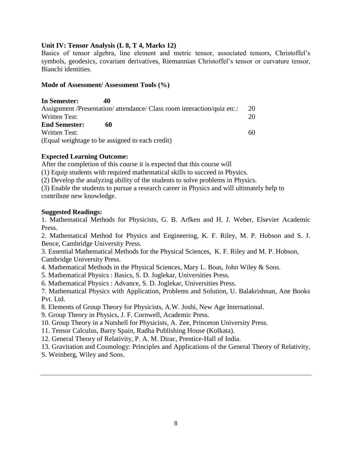## **Unit IV: Tensor Analysis (L 8, T 4, Marks 12)**

Basics of tensor algebra, line element and metric tensor, associated tensors, Christoffel's symbols, geodesics, covariant derivatives, Riemannian Christoffel's tensor or curvature tensor, Bianchi identities.

## **Mode of Assessment/ Assessment Tools (%)**

**In Semester: 40**  Assignment /Presentation/ attendance/ Class room interaction/quiz etc.: 20 Written Test: 20 **End Semester: 60**  Written Test: 60 (Equal weightage to be assigned to each credit)

## **Expected Learning Outcome:**

After the completion of this course it is expected that this course will

(1) Equip students with required mathematical skills to succeed in Physics.

(2) Develop the analyzing ability of the students to solve problems in Physics.

(3) Enable the students to pursue a research career in Physics and will ultimately help to contribute new knowledge.

## **Suggested Readings:**

1. Mathematical Methods for Physicists, G. B. Arfken and H. J. Weber, Elsevier Academic Press.

2. Mathematical Method for Physics and Engineering, K. F. Riley, M. P. Hobson and S. J. Bence, Cambridge University Press.

3. Essential Mathematical Methods for the Physical Sciences, K. F. Riley and M. P. Hobson, Cambridge University Press.

4. Mathematical Methods in the Physical Sciences, Mary L. Boas, John Wiley & Sons.

5. Mathematical Physics : Basics, S. D. Joglekar, Universities Press.

6. Mathematical Physics : Advance, S. D. Joglekar, Universities Press.

7. Mathematical Physics with Application, Problems and Solution, U. Balakrishnan, Ane Books Pvt. Ltd.

8. Elements of Group Theory for Physicists, A.W. Joshi, New Age International.

9. Group Theory in Physics, J. F. Cornwell, Academic Press.

10. Group Theory in a Nutshell for Physicists, A. Zee, Princeton University Press.

11. Tensor Calculus, Barry Spain, Radha Publishing House (Kolkata).

12. General Theory of Relativity, P. A. M. Dirac, Prentice-Hall of India.

13. Gravitation and Cosmology: Principles and Applications of the General Theory of Relativity,

S. Weinberg, Wiley and Sons.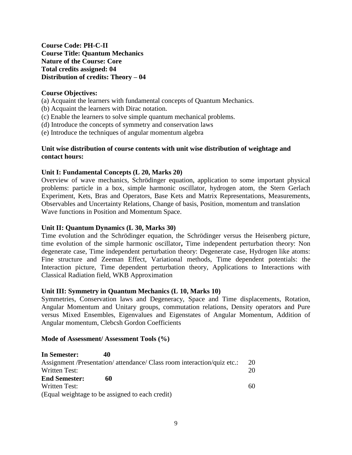**Course Code: PH-C-II Course Title: Quantum Mechanics Nature of the Course: Core Total credits assigned: 04 Distribution of credits: Theory – 04**

## **Course Objectives:**

- (a) Acquaint the learners with fundamental concepts of Quantum Mechanics.
- (b) Acquaint the learners with Dirac notation.
- (c) Enable the learners to solve simple quantum mechanical problems.
- (d) Introduce the concepts of symmetry and conservation laws
- (e) Introduce the techniques of angular momentum algebra

## **Unit wise distribution of course contents with unit wise distribution of weightage and contact hours:**

#### **Unit I: Fundamental Concepts (L 20, Marks 20)**

Overview of wave mechanics, Schrödinger equation, application to some important physical problems: particle in a box, simple harmonic oscillator, hydrogen atom, the Stern Gerlach Experiment, Kets, Bras and Operators, Base Kets and Matrix Representations, Measurements, Observables and Uncertainty Relations, Change of basis, Position, momentum and translation Wave functions in Position and Momentum Space.

#### **Unit II: Quantum Dynamics (L 30, Marks 30)**

Time evolution and the Schrödinger equation, the Schrödinger versus the Heisenberg picture, time evolution of the simple harmonic oscillator**,** Time independent perturbation theory: Non degenerate case, Time independent perturbation theory: Degenerate case, Hydrogen like atoms: Fine structure and Zeeman Effect, Variational methods, Time dependent potentials: the Interaction picture, Time dependent perturbation theory, Applications to Interactions with Classical Radiation field, WKB Approximation

#### **Unit III: Symmetry in Quantum Mechanics (L 10, Marks 10)**

Symmetries, Conservation laws and Degeneracy, Space and Time displacements, Rotation, Angular Momentum and Unitary groups, commutation relations, Density operators and Pure versus Mixed Ensembles, Eigenvalues and Eigenstates of Angular Momentum, Addition of Angular momentum, Clebcsh Gordon Coefficients

#### **Mode of Assessment/ Assessment Tools (%)**

| In Semester:         | 40                                                                      |    |
|----------------------|-------------------------------------------------------------------------|----|
|                      | Assignment /Presentation/ attendance/ Class room interaction/quiz etc.: | 20 |
| Written Test:        |                                                                         | 20 |
| <b>End Semester:</b> | 60                                                                      |    |
| <b>Written Test:</b> |                                                                         | 60 |
|                      | (Equal weightage to be assigned to each credit)                         |    |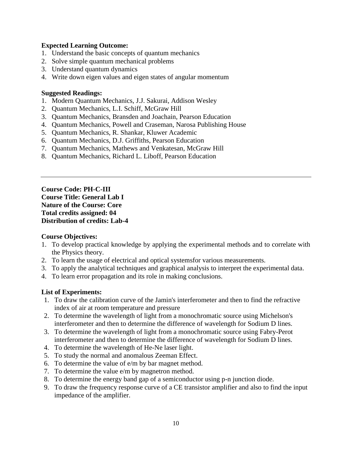## **Expected Learning Outcome:**

- 1. Understand the basic concepts of quantum mechanics
- 2. Solve simple quantum mechanical problems
- 3. Understand quantum dynamics
- 4. Write down eigen values and eigen states of angular momentum

## **Suggested Readings:**

- 1. Modern Quantum Mechanics, J.J. Sakurai, Addison Wesley
- 2. Quantum Mechanics, L.I. Schiff, McGraw Hill
- 3. Quantum Mechanics, Bransden and Joachain, Pearson Education
- 4. Quantum Mechanics, Powell and Craseman, Narosa Publishing House
- 5. Quantum Mechanics, R. Shankar, Kluwer Academic
- 6. Quantum Mechanics, D.J. Griffiths, Pearson Education
- 7. Quantum Mechanics, Mathews and Venkatesan, McGraw Hill
- 8. Quantum Mechanics, Richard L. Liboff, Pearson Education

**Course Code: PH-C-III Course Title: General Lab I Nature of the Course: Core Total credits assigned: 04 Distribution of credits: Lab-4**

## **Course Objectives:**

- 1. To develop practical knowledge by applying the experimental methods and to correlate with the Physics theory.
- 2. To learn the usage of electrical and optical systemsfor various measurements.
- 3. To apply the analytical techniques and graphical analysis to interpret the experimental data.
- 4. To learn error propagation and its role in making conclusions.

## **List of Experiments:**

- 1. To draw the calibration curve of the Jamin's interferometer and then to find the refractive index of air at room temperature and pressure
- 2. To determine the wavelength of light from a monochromatic source using Michelson's interferometer and then to determine the difference of wavelength for Sodium D lines.
- 3. To determine the wavelength of light from a monochromatic source using Fabry-Perot interferometer and then to determine the difference of wavelength for Sodium D lines.
- 4. To determine the wavelength of He-Ne laser light.
- 5. To study the normal and anomalous Zeeman Effect.
- 6. To determine the value of e/m by bar magnet method.
- 7. To determine the value e/m by magnetron method.
- 8. To determine the energy band gap of a semiconductor using p-n junction diode.
- 9. To draw the frequency response curve of a CE transistor amplifier and also to find the input impedance of the amplifier.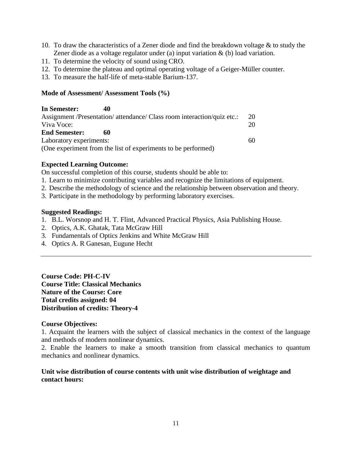- 10. To draw the characteristics of a Zener diode and find the breakdown voltage & to study the Zener diode as a voltage regulator under (a) input variation & (b) load variation.
- 11. To determine the velocity of sound using CRO.
- 12. To determine the plateau and optimal operating voltage of a Geiger-Müller counter.
- 13. To measure the half-life of meta-stable Barium-137.

## **Mode of Assessment/ Assessment Tools (%)**

| In Semester:            | 40 |                                                                         |    |
|-------------------------|----|-------------------------------------------------------------------------|----|
|                         |    | Assignment /Presentation/ attendance/ Class room interaction/quiz etc.: | 20 |
| Viva Voce:              |    |                                                                         | 20 |
| <b>End Semester:</b>    | 60 |                                                                         |    |
| Laboratory experiments: |    |                                                                         | 60 |
|                         |    | (One experiment from the list of experiments to be performed)           |    |

## **Expected Learning Outcome:**

On successful completion of this course, students should be able to:

- 1. Learn to minimize contributing variables and recognize the limitations of equipment.
- 2. Describe the methodology of science and the relationship between observation and theory.
- 3. Participate in the methodology by performing laboratory exercises.

## **Suggested Readings:**

- 1. B.L. Worsnop and H. T. Flint, Advanced Practical Physics, Asia Publishing House.
- 2. Optics, A.K. Ghatak, Tata McGraw Hill
- 3. Fundamentals of Optics Jenkins and White McGraw Hill
- 4. Optics A. R Ganesan, Eugune Hecht

**Course Code: PH-C-IV Course Title: Classical Mechanics Nature of the Course: Core Total credits assigned: 04 Distribution of credits: Theory-4**

## **Course Objectives:**

1. Acquaint the learners with the subject of classical mechanics in the context of the language and methods of modern nonlinear dynamics.

2. Enable the learners to make a smooth transition from classical mechanics to quantum mechanics and nonlinear dynamics.

# **Unit wise distribution of course contents with unit wise distribution of weightage and contact hours:**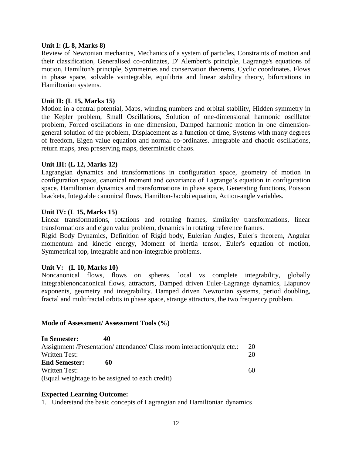#### **Unit I: (L 8, Marks 8)**

Review of Newtonian mechanics, Mechanics of a system of particles, Constraints of motion and their classification, Generalised co-ordinates, D' Alembert's principle, Lagrange's equations of motion, Hamilton's principle, Symmetries and conservation theorems, Cyclic coordinates. Flows in phase space, solvable vsintegrable, equilibria and linear stability theory, bifurcations in Hamiltonian systems.

## **Unit II: (L 15, Marks 15)**

Motion in a central potential, Maps, winding numbers and orbital stability, Hidden symmetry in the Kepler problem, Small Oscillations, Solution of one-dimensional harmonic oscillator problem, Forced oscillations in one dimension, Damped harmonic motion in one dimensiongeneral solution of the problem, Displacement as a function of time, Systems with many degrees of freedom, Eigen value equation and normal co-ordinates. Integrable and chaotic oscillations, return maps, area preserving maps, deterministic chaos.

## **Unit III: (L 12, Marks 12)**

Lagrangian dynamics and transformations in configuration space, geometry of motion in configuration space, canonical moment and covariance of Lagrange's equation in configuration space. Hamiltonian dynamics and transformations in phase space, Generating functions, Poisson brackets, Integrable canonical flows, Hamilton-Jacobi equation, Action-angle variables.

## **Unit IV: (L 15, Marks 15)**

Linear transformations, rotations and rotating frames, similarity transformations, linear transformations and eigen value problem, dynamics in rotating reference frames.

Rigid Body Dynamics, Definition of Rigid body, Eulerian Angles, Euler's theorem, Angular momentum and kinetic energy, Moment of inertia tensor, Euler's equation of motion, Symmetrical top, Integrable and non-integrable problems.

## **Unit V: (L 10, Marks 10)**

Noncanonical flows, flows on spheres, local vs complete integrability, globally integrablenoncanonical flows, attractors, Damped driven Euler-Lagrange dynamics, Liapunov exponents, geometry and integrability. Damped driven Newtonian systems, period doubling, fractal and multifractal orbits in phase space, strange attractors, the two frequency problem.

## **Mode of Assessment/ Assessment Tools (%)**

| In Semester:         | 40                                                                      |    |
|----------------------|-------------------------------------------------------------------------|----|
|                      | Assignment /Presentation/ attendance/ Class room interaction/quiz etc.: | 20 |
| <b>Written Test:</b> |                                                                         | 20 |
| <b>End Semester:</b> | 60                                                                      |    |
| Written Test:        |                                                                         | 60 |
|                      | (Equal weightage to be assigned to each credit)                         |    |

## **Expected Learning Outcome:**

1. Understand the basic concepts of Lagrangian and Hamiltonian dynamics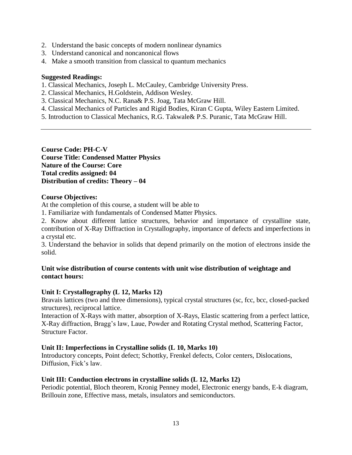- 2. Understand the basic concepts of modern nonlinear dynamics
- 3. Understand canonical and noncanonical flows
- 4. Make a smooth transition from classical to quantum mechanics

## **Suggested Readings:**

- 1. Classical Mechanics, Joseph L. McCauley, Cambridge University Press.
- 2. Classical Mechanics, H.Goldstein, Addison Wesley.
- 3. Classical Mechanics, N.C. Rana& P.S. Joag, Tata McGraw Hill.
- 4. Classical Mechanics of Particles and Rigid Bodies, Kiran C Gupta, Wiley Eastern Limited.
- 5. Introduction to Classical Mechanics, R.G. Takwale& P.S. Puranic, Tata McGraw Hill.

**Course Code: PH-C-V Course Title: Condensed Matter Physics Nature of the Course: Core Total credits assigned: 04 Distribution of credits: Theory – 04**

## **Course Objectives:**

At the completion of this course, a student will be able to

1. Familiarize with fundamentals of Condensed Matter Physics.

2. Know about different lattice structures, behavior and importance of crystalline state, contribution of X-Ray Diffraction in Crystallography, importance of defects and imperfections in a crystal etc.

3. Understand the behavior in solids that depend primarily on the motion of electrons inside the solid.

## **Unit wise distribution of course contents with unit wise distribution of weightage and contact hours:**

# **Unit I: Crystallography (L 12, Marks 12)**

Bravais lattices (two and three dimensions), typical crystal structures (sc, fcc, bcc, closed-packed structures), reciprocal lattice.

Interaction of X-Rays with matter, absorption of X-Rays, Elastic scattering from a perfect lattice, X-Ray diffraction, Bragg's law, Laue, Powder and Rotating Crystal method, Scattering Factor, Structure Factor.

# **Unit II: Imperfections in Crystalline solids (L 10, Marks 10)**

Introductory concepts, Point defect; Schottky, Frenkel defects, Color centers, Dislocations, Diffusion, Fick's law.

# **Unit III: Conduction electrons in crystalline solids (L 12, Marks 12)**

Periodic potential, Bloch theorem, Kronig Penney model, Electronic energy bands, E-k diagram, Brillouin zone, Effective mass, metals, insulators and semiconductors.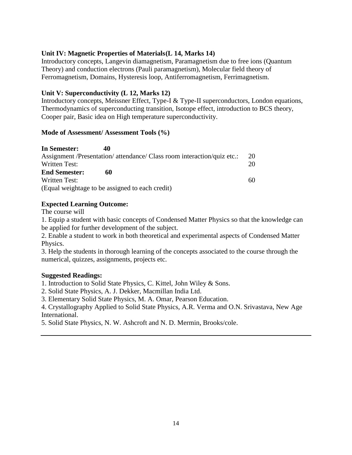## **Unit IV: Magnetic Properties of Materials(L 14, Marks 14)**

Introductory concepts, Langevin diamagnetism, Paramagnetism due to free ions (Quantum Theory) and conduction electrons (Pauli paramagnetism), Molecular field theory of Ferromagnetism, Domains, Hysteresis loop, Antiferromagnetism, Ferrimagnetism.

## **Unit V: Superconductivity (L 12, Marks 12)**

Introductory concepts, Meissner Effect, Type-I & Type-II superconductors, London equations, Thermodynamics of superconducting transition, Isotope effect, introduction to BCS theory, Cooper pair, Basic idea on High temperature superconductivity.

## **Mode of Assessment/ Assessment Tools (%)**

| In Semester:                                    | 40                                                                      |    |
|-------------------------------------------------|-------------------------------------------------------------------------|----|
|                                                 | Assignment /Presentation/ attendance/ Class room interaction/quiz etc.: | 20 |
| Written Test:                                   |                                                                         | 20 |
| <b>End Semester:</b>                            | 60                                                                      |    |
| Written Test:                                   |                                                                         | 60 |
| (Equal weightage to be assigned to each credit) |                                                                         |    |

## **Expected Learning Outcome:**

The course will

1. Equip a student with basic concepts of Condensed Matter Physics so that the knowledge can be applied for further development of the subject.

2. Enable a student to work in both theoretical and experimental aspects of Condensed Matter Physics.

3. Help the students in thorough learning of the concepts associated to the course through the numerical, quizzes, assignments, projects etc.

## **Suggested Readings:**

1. Introduction to Solid State Physics, C. Kittel, John Wiley & Sons.

2. Solid State Physics, A. J. Dekker, Macmillan India Ltd.

3. Elementary Solid State Physics, M. A. Omar, Pearson Education.

4. Crystallography Applied to Solid State Physics, A.R. Verma and O.N. Srivastava, New Age International.

5. Solid State Physics, N. W. Ashcroft and N. D. Mermin, Brooks/cole.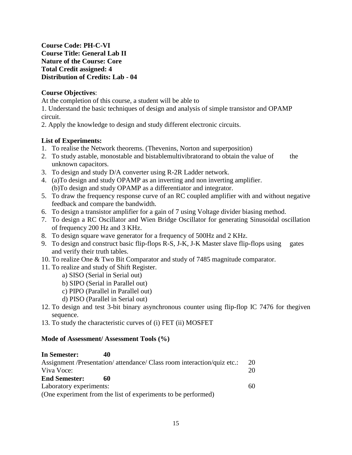**Course Code: PH-C-VI Course Title: General Lab II Nature of the Course: Core Total Credit assigned: 4 Distribution of Credits: Lab - 04** 

# **Course Objectives**:

At the completion of this course, a student will be able to

1. Understand the basic techniques of design and analysis of simple transistor and OPAMP circuit.

2. Apply the knowledge to design and study different electronic circuits.

# **List of Experiments:**

- 1. To realise the Network theorems. (Thevenins, Norton and superposition)
- 2. To study astable, monostable and bistablemultivibratorand to obtain the value of the unknown capacitors.
- 3. To design and study D/A converter using R-2R Ladder network.
- 4. (a)To design and study OPAMP as an inverting and non inverting amplifier. (b)To design and study OPAMP as a differentiator and integrator.
- 5. To draw the frequency response curve of an RC coupled amplifier with and without negative feedback and compare the bandwidth.
- 6. To design a transistor amplifier for a gain of 7 using Voltage divider biasing method.
- 7. To design a RC Oscillator and Wien Bridge Oscillator for generating Sinusoidal oscillation of frequency 200 Hz and 3 KHz.
- 8. To design square wave generator for a frequency of 500Hz and 2 KHz.
- 9. To design and construct basic flip-flops R-S, J-K, J-K Master slave flip-flops using gates and verify their truth tables.
- 10. To realize One & Two Bit Comparator and study of 7485 magnitude comparator.
- 11. To realize and study of Shift Register.
	- a) SISO (Serial in Serial out)
	- b) SIPO (Serial in Parallel out)
	- c) PIPO (Parallel in Parallel out)
	- d) PISO (Parallel in Serial out)
- 12. To design and test 3-bit binary asynchronous counter using flip-flop IC 7476 for thegiven sequence.
- 13. To study the characteristic curves of (i) FET (ii) MOSFET

## **Mode of Assessment/ Assessment Tools (%)**

| In Semester:            | 40                                                                      |    |
|-------------------------|-------------------------------------------------------------------------|----|
|                         | Assignment /Presentation/ attendance/ Class room interaction/quiz etc.: | 20 |
| Viva Voce:              |                                                                         | 20 |
| <b>End Semester:</b>    | 60                                                                      |    |
| Laboratory experiments: |                                                                         | 60 |
|                         | (One experiment from the list of experiments to be performed)           |    |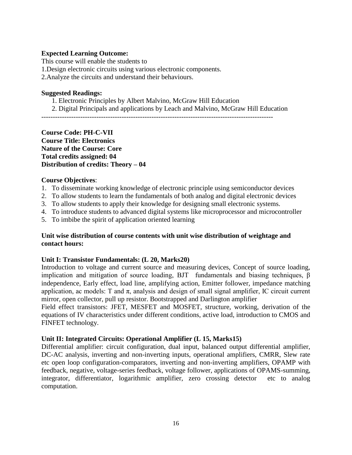## **Expected Learning Outcome:**

This course will enable the students to

1.Design electronic circuits using various electronic components.

2.Analyze the circuits and understand their behaviours.

## **Suggested Readings:**

- 1. Electronic Principles by Albert Malvino, McGraw Hill Education
- 2. Digital Principals and applications by Leach and Malvino, McGraw Hill Education

-----------------------------------------------------------------------------------------------------

## **Course Code: PH-C-VII Course Title: Electronics Nature of the Course: Core Total credits assigned: 04 Distribution of credits: Theory – 04**

## **Course Objectives**:

- 1. To disseminate working knowledge of electronic principle using semiconductor devices
- 2. To allow students to learn the fundamentals of both analog and digital electronic devices
- 3. To allow students to apply their knowledge for designing small electronic systems.
- 4. To introduce students to advanced digital systems like microprocessor and microcontroller
- 5. To imbibe the spirit of application oriented learning

## **Unit wise distribution of course contents with unit wise distribution of weightage and contact hours:**

## **Unit I: Transistor Fundamentals: (L 20, Marks20)**

Introduction to voltage and current source and measuring devices, Concept of source loading, implication and mitigation of source loading, BJT fundamentals and biasing techniques, β independence, Early effect, load line, amplifying action, Emitter follower, impedance matching application, ac models: T and  $\pi$ , analysis and design of small signal amplifier, IC circuit current mirror, open collector, pull up resistor. Bootstrapped and Darlington amplifier

Field effect transistors: JFET, MESFET and MOSFET, structure, working, derivation of the equations of IV characteristics under different conditions, active load, introduction to CMOS and FINFET technology.

## **Unit II: Integrated Circuits: Operational Amplifier (L 15, Marks15)**

Differential amplifier: circuit configuration, dual input, balanced output differential amplifier, DC-AC analysis, inverting and non-inverting inputs, operational amplifiers, CMRR, Slew rate etc open loop configuration-comparators, inverting and non-inverting amplifiers, OPAMP with feedback, negative, voltage-series feedback, voltage follower, applications of OPAMS-summing, integrator, differentiator, logarithmic amplifier, zero crossing detector etc to analog computation.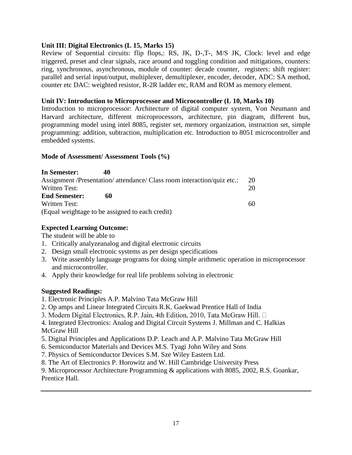## **Unit III: Digital Electronics (L 15, Marks 15)**

Review of Sequential circuits: flip flops,: RS, JK, D-,T-, M/S JK, Clock: level and edge triggered, preset and clear signals, race around and toggling condition and mitigations, counters: ring, synchronous, asynchronous, module of counter: decade counter, registers: shift register: parallel and serial input/output, multiplexer, demultiplexer, encoder, decoder, ADC: SA method, counter etc DAC: weighted resistor, R-2R ladder etc, RAM and ROM as memory element.

## **Unit IV: Introduction to Microprocessor and Microcontroller (L 10, Marks 10)**

Introduction to microprocessor: Architecture of digital computer system, Von Neumann and Harvard architecture, different microprocessors, architecture, pin diagram, different bus, programming model using intel 8085, register set, memory organization, instruction set, simple programming: addition, subtraction, multiplication etc. Introduction to 8051 microcontroller and embedded systems.

## **Mode of Assessment/ Assessment Tools (%)**

**In Semester: 40**  Assignment /Presentation/ attendance/ Class room interaction/quiz etc.: 20 Written Test: 20 **End Semester: 60**  Written Test: 60 (Equal weightage to be assigned to each credit)

# **Expected Learning Outcome:**

The student will be able to

- 1. Critically analyzeanalog and digital electronic circuits
- 2. Design small electronic systems as per design specifications
- 3. Write assembly language programs for doing simple arithmetic operation in microprocessor and microcontroller.
- 4. Apply their knowledge for real life problems solving in electronic

# **Suggested Readings:**

- 1. Electronic Principles A.P. Malvino Tata McGraw Hill
- 2. Op amps and Linear Integrated Circuits R.K. Gaekwad Prentice Hall of India
- 3. Modern Digital Electronics, R.P. Jain, 4th Edition, 2010, Tata McGraw Hill. □

4. Integrated Electronics: Analog and Digital Circuit Systems J. Millman and C. Halkias McGraw Hill

- 5. Digital Principles and Applications D.P. Leach and A.P. Malvino Tata McGraw Hill
- 6. Semiconductor Materials and Devices M.S. Tyagi John Wiley and Sons
- 7. Physics of Semiconductor Devices S.M. Sze Wiley Eastern Ltd.
- 8. The Art of Electronics P. Horowitz and W. Hill Cambridge University Press

9. Microprocessor Architecture Programming & applications with 8085, 2002, R.S. Goankar, Prentice Hall.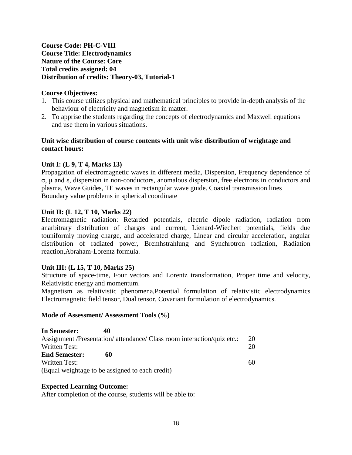# **Course Code: PH-C-VIII Course Title: Electrodynamics Nature of the Course: Core Total credits assigned: 04 Distribution of credits: Theory-03, Tutorial-1**

## **Course Objectives:**

- 1. This course utilizes physical and mathematical principles to provide in-depth analysis of the behaviour of electricity and magnetism in matter.
- 2. To apprise the students regarding the concepts of electrodynamics and Maxwell equations and use them in various situations.

## **Unit wise distribution of course contents with unit wise distribution of weightage and contact hours:**

# **Unit I: (L 9, T 4, Marks 13)**

Propagation of electromagnetic waves in different media, Dispersion, Frequency dependence of σ, μ and ε, dispersion in non-conductors, anomalous dispersion, free electrons in conductors and plasma, Wave Guides, TE waves in rectangular wave guide. Coaxial transmission lines Boundary value problems in spherical coordinate

## **Unit II: (L 12, T 10, Marks 22)**

Electromagnetic radiation: Retarded potentials, electric dipole radiation, radiation from anarbitrary distribution of charges and current, Lienard-Wiechert potentials, fields due touniformly moving charge, and accelerated charge, Linear and circular acceleration, angular distribution of radiated power, Bremhstrahlung and Synchrotron radiation, Radiation reaction,Abraham-Lorentz formula.

## **Unit III: (L 15, T 10, Marks 25)**

Structure of space-time, Four vectors and Lorentz transformation, Proper time and velocity, Relativistic energy and momentum.

Magnetism as relativistic phenomena,Potential formulation of relativistic electrodynamics Electromagnetic field tensor, Dual tensor, Covariant formulation of electrodynamics.

## **Mode of Assessment/ Assessment Tools (%)**

| In Semester:         | 40                                                                      |    |
|----------------------|-------------------------------------------------------------------------|----|
|                      | Assignment /Presentation/ attendance/ Class room interaction/quiz etc.: | 20 |
| <b>Written Test:</b> |                                                                         | 20 |
| <b>End Semester:</b> | 60                                                                      |    |
| Written Test:        |                                                                         | 60 |
|                      | (Equal weightage to be assigned to each credit)                         |    |

## **Expected Learning Outcome:**

After completion of the course, students will be able to: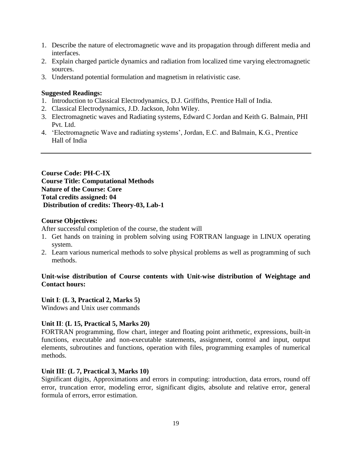- 1. Describe the nature of electromagnetic wave and its propagation through different media and interfaces.
- 2. Explain charged particle dynamics and radiation from localized time varying electromagnetic sources.
- 3. Understand potential formulation and magnetism in relativistic case.

## **Suggested Readings:**

- 1. Introduction to Classical Electrodynamics, D.J. Griffiths, Prentice Hall of India.
- 2. Classical Electrodynamics, J.D. Jackson, John Wiley.
- 3. Electromagnetic waves and Radiating systems, Edward C Jordan and Keith G. Balmain, PHI Pvt. Ltd.
- 4. 'Electromagnetic Wave and radiating systems', Jordan, E.C. and Balmain, K.G., Prentice Hall of India

**Course Code: PH-C-IX Course Title: Computational Methods Nature of the Course: Core Total credits assigned: 04 Distribution of credits: Theory-03, Lab-1**

## **Course Objectives:**

After successful completion of the course, the student will

- 1. Get hands on training in problem solving using FORTRAN language in LINUX operating system.
- 2. Learn various numerical methods to solve physical problems as well as programming of such methods.

## **Unit-wise distribution of Course contents with Unit-wise distribution of Weightage and Contact hours:**

**Unit I**: **(L 3, Practical 2, Marks 5)**

Windows and Unix user commands

## **Unit II**: **(L 15, Practical 5, Marks 20)**

FORTRAN programming, flow chart, integer and floating point arithmetic, expressions, built-in functions, executable and non-executable statements, assignment, control and input, output elements, subroutines and functions, operation with files, programming examples of numerical methods.

## **Unit III**: **(L 7, Practical 3, Marks 10)**

Significant digits, Approximations and errors in computing: introduction, data errors, round off error, truncation error, modeling error, significant digits, absolute and relative error, general formula of errors, error estimation.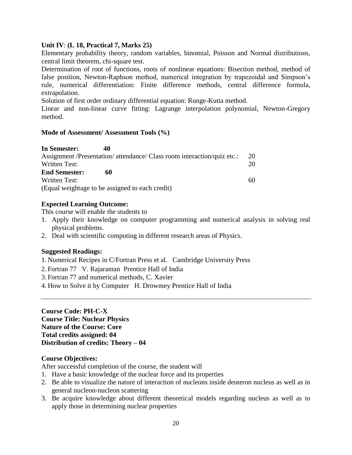## **Unit IV**: **(L 18, Practical 7, Marks 25)**

Elementary probability theory, random variables, binomial, Poisson and Normal distributions, central limit theorem, chi-square test.

Determination of root of functions, roots of nonlinear equations: Bisection method, method of false position, Newton-Raphson method, numerical integration by trapezoidal and Simpson's rule, numerical differentiation: Finite difference methods, central difference formula, extrapolation.

Solution of first order ordinary differential equation: Runge-Kutta method.

Linear and non-linear curve fitting: Lagrange interpolation polynomial, Newton-Gregory method.

#### **Mode of Assessment/ Assessment Tools (%)**

| In Semester:                                                            |    |
|-------------------------------------------------------------------------|----|
| Assignment /Presentation/ attendance/ Class room interaction/quiz etc.: | 20 |
| Written Test:                                                           | 20 |
| <b>End Semester:</b><br>60                                              |    |
| Written Test:                                                           | 60 |
| (Equal weightage to be assigned to each credit)                         |    |

## **Expected Learning Outcome:**

This course will enable the students to

- 1. Apply their knowledge on computer programming and numerical analysis in solving real physical problems.
- 2. Deal with scientific computing in different research areas of Physics.

## **Suggested Readings:**

- 1. Numerical Recipes in C/Fortran Press et al. Cambridge University Press
- 2. Fortran 77 V. Rajaraman Prentice Hall of India
- 3. Fortran 77 and numerical methods, C. Xavier
- 4. How to Solve it by Computer H. Drowmey Prentice Hall of India

## **Course Code: PH-C-X Course Title: Nuclear Physics Nature of the Course: Core Total credits assigned: 04 Distribution of credits: Theory – 04**

## **Course Objectives:**

After successful completion of the course, the student will

- 1. Have a basic knowledge of the nuclear force and its properties
- 2. Be able to visualize the nature of interaction of nucleons inside deuteron nucleus as well as in general nucleon-nucleon scattering
- 3. Be acquire knowledge about different theoretical models regarding nucleus as well as to apply those in determining nuclear properties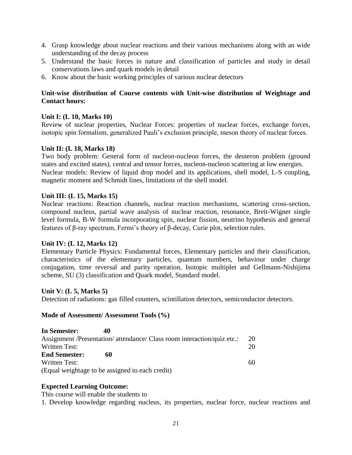- 4. Grasp knowledge about nuclear reactions and their various mechanisms along with an wide understanding of the decay process
- 5. Understand the basic forces in nature and classification of particles and study in detail conservations laws and quark models in detail
- 6. Know about the basic working principles of various nuclear detectors

# **Unit-wise distribution of Course contents with Unit-wise distribution of Weightage and Contact hours:**

# **Unit I: (L 10, Marks 10)**

Review of nuclear properties, Nuclear Forces: properties of nuclear forces, exchange forces, isotopic spin formalism, generalized Pauli's exclusion principle, meson theory of nuclear forces.

## **Unit II: (L 18, Marks 18)**

Two body problem: General form of nucleon-nucleon forces, the deuteron problem (ground states and excited states), central and tensor forces, nucleon-nucleon scattering at low energies. Nuclear models: Review of liquid drop model and its applications, shell model, L-S coupling, magnetic moment and Schmidt lines, limitations of the shell model.

## **Unit III: (L 15, Marks 15)**

Nuclear reactions: Reaction channels, nuclear reaction mechanisms, scattering cross-section, compound nucleus, partial wave analysis of nuclear reaction, resonance, Breit-Wigner single level formula, B-W formula incorporating spin, nuclear fission, neutrino hypothesis and general features of β-ray spectrum, Fermi's theory of β-decay, Curie plot, selection rules.

## **Unit IV: (L 12, Marks 12)**

Elementary Particle Physics: Fundamental forces, Elementary particles and their classification, characteristics of the elementary particles, quantum numbers, behaviour under charge conjugation, time reversal and parity operation, Isotopic multiplet and Gellmann-Nishijima scheme, SU (3) classification and Quark model, Standard model.

## **Unit V: (L 5, Marks 5)**

Detection of radiations: gas filled counters, scintillation detectors, semiconductor detectors.

## **Mode of Assessment/ Assessment Tools (%)**

| In Semester:         | 40                                                                      |    |
|----------------------|-------------------------------------------------------------------------|----|
|                      | Assignment /Presentation/ attendance/ Class room interaction/quiz etc.: | 20 |
| Written Test:        |                                                                         | 20 |
| <b>End Semester:</b> | 60                                                                      |    |
| Written Test:        |                                                                         | 60 |
|                      | (Equal weightage to be assigned to each credit)                         |    |

## **Expected Learning Outcome:**

This course will enable the students to

1. Develop knowledge regarding nucleus, its properties, nuclear force, nuclear reactions and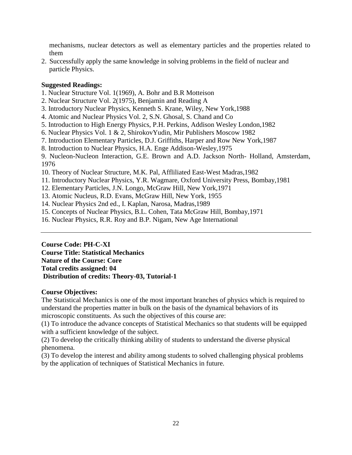mechanisms, nuclear detectors as well as elementary particles and the properties related to them

2. Successfully apply the same knowledge in solving problems in the field of nuclear and particle Physics.

## **Suggested Readings:**

- 1. Nuclear Structure Vol. 1(1969), A. Bohr and B.R Motteison
- 2. Nuclear Structure Vol. 2(1975), Benjamin and Reading A
- 3. Introductory Nuclear Physics, Kenneth S. Krane, Wiley, New York,1988
- 4. Atomic and Nuclear Physics Vol. 2, S.N. Ghosal, S. Chand and Co
- 5. Introduction to High Energy Physics, P.H. Perkins, Addison Wesley London,1982
- 6. Nuclear Physics Vol. 1 & 2, ShirokovYudin, Mir Publishers Moscow 1982
- 7. Introduction Elementary Particles, D.J. Griffiths, Harper and Row New York,1987
- 8. Introduction to Nuclear Physics, H.A. Enge Addison-Wesley,1975
- 9. Nucleon-Nucleon Interaction, G.E. Brown and A.D. Jackson North- Holland, Amsterdam, 1976
- 10. Theory of Nuclear Structure, M.K. Pal, Affliliated East-West Madras,1982
- 11. Introductory Nuclear Physics, Y.R. Wagmare, Oxford University Press, Bombay,1981
- 12. Elementary Particles, J.N. Longo, McGraw Hill, New York,1971
- 13. Atomic Nucleus, R.D. Evans, McGraw Hill, New York, 1955
- 14. Nuclear Physics 2nd ed., I. Kaplan, Narosa, Madras,1989
- 15. Concepts of Nuclear Physics, B.L. Cohen, Tata McGraw Hill, Bombay,1971
- 16. Nuclear Physics, R.R. Roy and B.P. Nigam, New Age International

## **Course Code: PH-C-XI**

**Course Title: Statistical Mechanics Nature of the Course: Core Total credits assigned: 04 Distribution of credits: Theory-03, Tutorial-1**

# **Course Objectives:**

The Statistical Mechanics is one of the most important branches of physics which is required to understand the properties matter in bulk on the basis of the dynamical behaviors of its microscopic constituents. As such the objectives of this course are:

(1) To introduce the advance concepts of Statistical Mechanics so that students will be equipped with a sufficient knowledge of the subject.

(2) To develop the critically thinking ability of students to understand the diverse physical phenomena.

(3) To develop the interest and ability among students to solved challenging physical problems by the application of techniques of Statistical Mechanics in future.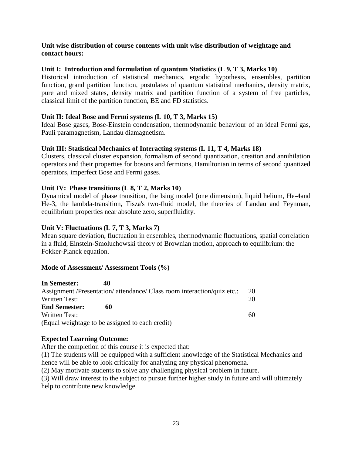## **Unit wise distribution of course contents with unit wise distribution of weightage and contact hours:**

## **Unit I: Introduction and formulation of quantum Statistics (L 9, T 3, Marks 10)**

Historical introduction of statistical mechanics, ergodic hypothesis, ensembles, partition function, grand partition function, postulates of quantum statistical mechanics, density matrix, pure and mixed states, density matrix and partition function of a system of free particles, classical limit of the partition function, BE and FD statistics.

## **Unit II: Ideal Bose and Fermi systems (L 10, T 3, Marks 15)**

Ideal Bose gases, Bose-Einstein condensation, thermodynamic behaviour of an ideal Fermi gas, Pauli paramagnetism, Landau diamagnetism.

## **Unit III: Statistical Mechanics of Interacting systems (L 11, T 4, Marks 18)**

Clusters, classical cluster expansion, formalism of second quantization, creation and annihilation operators and their properties for bosons and fermions, Hamiltonian in terms of second quantized operators, imperfect Bose and Fermi gases.

## **Unit IV: Phase transitions (L 8, T 2, Marks 10)**

Dynamical model of phase transition, the Ising model (one dimension), liquid helium, He-4and He-3, the lambda-transition, Tisza's two-fluid model, the theories of Landau and Feynman, equilibrium properties near absolute zero, superfluidity.

## **Unit V: Fluctuations (L 7, T 3, Marks 7)**

Mean square deviation, fluctuation in ensembles, thermodynamic fluctuations, spatial correlation in a fluid, Einstein-Smoluchowski theory of Brownian motion, approach to equilibrium: the Fokker-Planck equation.

## **Mode of Assessment/ Assessment Tools (%)**

| In Semester:         | 40                                                                      |           |
|----------------------|-------------------------------------------------------------------------|-----------|
|                      | Assignment /Presentation/ attendance/ Class room interaction/quiz etc.: | <b>20</b> |
| Written Test:        |                                                                         | 20        |
| <b>End Semester:</b> | 60                                                                      |           |
| Written Test:        |                                                                         | 60        |
|                      | (Equal weightage to be assigned to each credit)                         |           |

## **Expected Learning Outcome:**

After the completion of this course it is expected that:

(1) The students will be equipped with a sufficient knowledge of the Statistical Mechanics and hence will be able to look critically for analyzing any physical phenomena.

(2) May motivate students to solve any challenging physical problem in future.

(3) Will draw interest to the subject to pursue further higher study in future and will ultimately help to contribute new knowledge.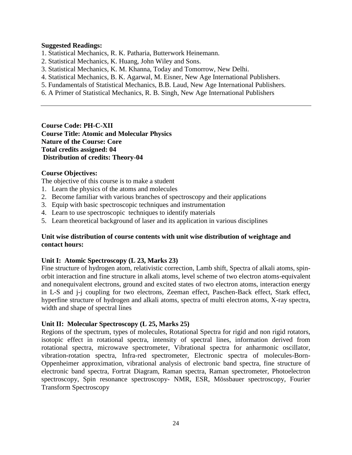#### **Suggested Readings:**

- 1. Statistical Mechanics, R. K. Patharia, Butterwork Heinemann.
- 2. Statistical Mechanics, K. Huang, John Wiley and Sons.
- 3. Statistical Mechanics, K. M. Khanna, Today and Tomorrow, New Delhi.
- 4. Statistical Mechanics, B. K. Agarwal, M. Eisner, New Age International Publishers.
- 5. Fundamentals of Statistical Mechanics, B.B. Laud, New Age International Publishers.
- 6. A Primer of Statistical Mechanics, R. B. Singh, New Age International Publishers

**Course Code: PH-C-XII Course Title: Atomic and Molecular Physics Nature of the Course: Core Total credits assigned: 04 Distribution of credits: Theory-04** 

#### **Course Objectives:**

The objective of this course is to make a student

- 1. Learn the physics of the atoms and molecules
- 2. Become familiar with various branches of spectroscopy and their applications
- 3. Equip with basic spectroscopic techniques and instrumentation
- 4. Learn to use spectroscopic techniques to identify materials
- 5. Learn theoretical background of laser and its application in various disciplines

#### **Unit wise distribution of course contents with unit wise distribution of weightage and contact hours:**

## **Unit I: Atomic Spectroscopy (L 23, Marks 23)**

Fine structure of hydrogen atom, relativistic correction, Lamb shift, Spectra of alkali atoms, spinorbit interaction and fine structure in alkali atoms, level scheme of two electron atoms-equivalent and nonequivalent electrons, ground and excited states of two electron atoms, interaction energy in L-S and j-j coupling for two electrons, Zeeman effect, Paschen-Back effect, Stark effect, hyperfine structure of hydrogen and alkali atoms, spectra of multi electron atoms, X-ray spectra, width and shape of spectral lines

## **Unit II: Molecular Spectroscopy (L 25, Marks 25)**

Regions of the spectrum, types of molecules, Rotational Spectra for rigid and non rigid rotators, isotopic effect in rotational spectra, intensity of spectral lines, information derived from rotational spectra, microwave spectrometer, Vibrational spectra for anharmonic oscillator, vibration-rotation spectra, Infra-red spectrometer, Electronic spectra of molecules-Born-Oppenheimer approximation, vibrational analysis of electronic band spectra, fine structure of electronic band spectra, Fortrat Diagram, Raman spectra, Raman spectrometer, Photoelectron spectroscopy, Spin resonance spectroscopy- NMR, ESR, Mössbauer spectroscopy, Fourier Transform Spectroscopy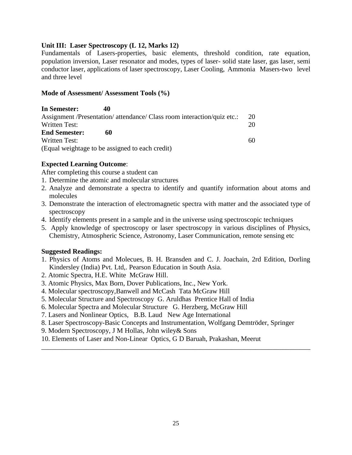## **Unit III: Laser Spectroscopy (L 12, Marks 12)**

Fundamentals of Lasers-properties, basic elements, threshold condition, rate equation, population inversion, Laser resonator and modes, types of laser- solid state laser, gas laser, semi conductor laser, applications of laser spectroscopy, Laser Cooling, Ammonia Masers-two level and three level

#### **Mode of Assessment/ Assessment Tools (%)**

| In Semester:         | 40                                                                      |     |  |
|----------------------|-------------------------------------------------------------------------|-----|--|
|                      | Assignment /Presentation/ attendance/ Class room interaction/quiz etc.: | -20 |  |
| Written Test:        |                                                                         | 20  |  |
| <b>End Semester:</b> | 60                                                                      |     |  |
| Written Test:        |                                                                         | 60  |  |
|                      | (Equal weightage to be assigned to each credit)                         |     |  |

## **Expected Learning Outcome**:

After completing this course a student can

- 1. Determine the atomic and molecular structures
- 2. Analyze and demonstrate a spectra to identify and quantify information about atoms and molecules
- 3. Demonstrate the interaction of electromagnetic spectra with matter and the associated type of spectroscopy
- 4. Identify elements present in a sample and in the universe using spectroscopic techniques
- 5. Apply knowledge of spectroscopy or laser spectroscopy in various disciplines of Physics, Chemistry, Atmospheric Science, Astronomy, Laser Communication, remote sensing etc

## **Suggested Readings:**

- 1. Physics of Atoms and Molecues, B. H. Bransden and C. J. Joachain, 2rd Edition, Dorling Kindersley (India) Pvt. Ltd,. Pearson Education in South Asia.
- 2. Atomic Spectra, H.E. White McGraw Hill.
- 3. Atomic Physics, Max Born, Dover Publications, Inc., New York.
- 4. Molecular spectroscopy,Banwell and McCash Tata McGraw Hill
- 5. Molecular Structure and Spectroscopy G. Aruldhas Prentice Hall of India
- 6. Molecular Spectra and Molecular Structure G. Herzberg, McGraw Hill
- 7. Lasers and Nonlinear Optics, B.B. Laud New Age International
- 8. Laser Spectroscopy-Basic Concepts and Instrumentation, Wolfgang Demtröder, Springer

\_\_\_\_\_\_\_\_\_\_\_\_\_\_\_\_\_\_\_\_\_\_\_\_\_\_\_\_\_\_\_\_\_\_\_\_\_\_\_\_\_\_\_\_\_\_\_\_\_\_\_\_\_\_\_\_\_\_\_\_\_\_\_\_\_\_\_\_\_\_\_\_\_\_\_\_\_\_

- 9. Modern Spectroscopy, J M Hollas, John wiley& Sons
- 10. Elements of Laser and Non-Linear Optics, G D Baruah, Prakashan, Meerut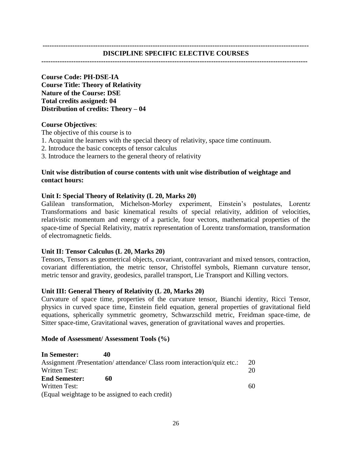#### **--------------------------------------------------------------------------------------------------------------------**

**Course Code: PH-DSE-IA Course Title: Theory of Relativity Nature of the Course: DSE Total credits assigned: 04 Distribution of credits: Theory – 04** 

## **Course Objectives**:

The objective of this course is to

- 1. Acquaint the learners with the special theory of relativity, space time continuum.
- 2. Introduce the basic concepts of tensor calculus
- 3. Introduce the learners to the general theory of relativity

# **Unit wise distribution of course contents with unit wise distribution of weightage and contact hours:**

# **Unit I: Special Theory of Relativity (L 20, Marks 20)**

Galilean transformation, Michelson-Morley experiment, Einstein's postulates, Lorentz Transformations and basic kinematical results of special relativity, addition of velocities, relativistic momentum and energy of a particle, four vectors, mathematical properties of the space-time of Special Relativity, matrix representation of Lorentz transformation, transformation of electromagnetic fields.

# **Unit II: Tensor Calculus (L 20, Marks 20)**

Tensors, Tensors as geometrical objects, covariant, contravariant and mixed tensors, contraction, covariant differentiation, the metric tensor, Christoffel symbols, Riemann curvature tensor, metric tensor and gravity, geodesics, parallel transport, Lie Transport and Killing vectors.

# **Unit III: General Theory of Relativity (L 20, Marks 20)**

Curvature of space time, properties of the curvature tensor, Bianchi identity, Ricci Tensor, physics in curved space time, Einstein field equation, general properties of gravitational field equations, spherically symmetric geometry, Schwarzschild metric, Freidman space-time, de Sitter space-time, Gravitational waves, generation of gravitational waves and properties.

# **Mode of Assessment/ Assessment Tools (%)**

| In Semester:         | 40                                                                      |    |
|----------------------|-------------------------------------------------------------------------|----|
|                      | Assignment /Presentation/ attendance/ Class room interaction/quiz etc.: | 20 |
| Written Test:        |                                                                         | 20 |
| <b>End Semester:</b> | 60                                                                      |    |
| Written Test:        |                                                                         | 60 |
|                      | (Equal weightage to be assigned to each credit)                         |    |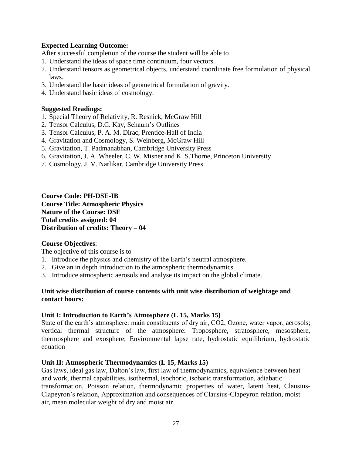## **Expected Learning Outcome:**

After successful completion of the course the student will be able to

- 1. Understand the ideas of space time continuum, four vectors.
- 2. Understand tensors as geometrical objects, understand coordinate free formulation of physical laws.

\_\_\_\_\_\_\_\_\_\_\_\_\_\_\_\_\_\_\_\_\_\_\_\_\_\_\_\_\_\_\_\_\_\_\_\_\_\_\_\_\_\_\_\_\_\_\_\_\_\_\_\_\_\_\_\_\_\_\_\_\_\_\_\_\_\_\_\_\_\_\_\_\_\_\_\_\_\_

- 3. Understand the basic ideas of geometrical formulation of gravity.
- 4. Understand basic ideas of cosmology.

## **Suggested Readings:**

- 1. Special Theory of Relativity, R. Resnick, McGraw Hill
- 2. Tensor Calculus, D.C. Kay, Schaum's Outlines
- 3. Tensor Calculus, P. A. M. Dirac, Prentice-Hall of India
- 4. Gravitation and Cosmology, S. Weinberg, McGraw Hill
- 5. Gravitation, T. Padmanabhan, Cambridge University Press
- 6. Gravitation, J. A. Wheeler, C. W. Misner and K. S.Thorne, Princeton University
- 7. Cosmology, J. V. Narlikar, Cambridge University Press

**Course Code: PH-DSE-IB Course Title: Atmospheric Physics Nature of the Course: DSE Total credits assigned: 04 Distribution of credits: Theory – 04** 

## **Course Objectives**:

The objective of this course is to

- 1. Introduce the physics and chemistry of the Earth's neutral atmosphere.
- 2. Give an in depth introduction to the atmospheric thermodynamics.
- 3. Introduce atmospheric aerosols and analyse its impact on the global climate.

## **Unit wise distribution of course contents with unit wise distribution of weightage and contact hours:**

## **Unit I: Introduction to Earth's Atmosphere (L 15, Marks 15)**

State of the earth's atmosphere: main constituents of dry air, CO2, Ozone, water vapor, aerosols; vertical thermal structure of the atmosphere: Troposphere, stratosphere, mesosphere, thermosphere and exosphere; Environmental lapse rate, hydrostatic equilibrium, hydrostatic equation

## **Unit II: Atmospheric Thermodynamics (L 15, Marks 15)**

Gas laws, ideal gas law, Dalton's law, first law of thermodynamics, equivalence between heat and work, thermal capabilities, isothermal, isochoric, isobaric transformation, adiabatic transformation, Poisson relation, thermodynamic properties of water, latent heat, Clausius-Clapeyron's relation, Approximation and consequences of Clausius-Clapeyron relation, moist air, mean molecular weight of dry and moist air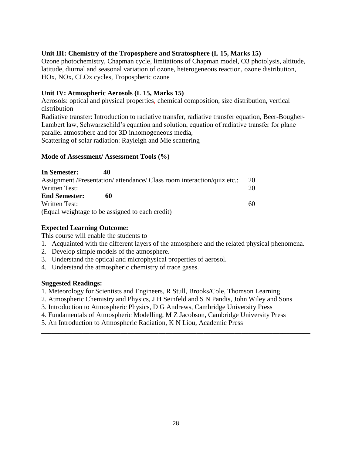# **Unit III: Chemistry of the Troposphere and Stratosphere (L 15, Marks 15)**

Ozone photochemistry, Chapman cycle, limitations of Chapman model, O3 photolysis, altitude, latitude, diurnal and seasonal variation of ozone, heterogeneous reaction, ozone distribution, HOx, NOx, CLOx cycles, Tropospheric ozone

# **Unit IV: Atmospheric Aerosols (L 15, Marks 15)**

Aerosols: optical and physical properties, chemical composition, size distribution, vertical distribution

Radiative transfer: Introduction to radiative transfer, radiative transfer equation, Beer-Bougher-Lambert law, Schwarzschild's equation and solution, equation of radiative transfer for plane parallel atmosphere and for 3D inhomogeneous media, Scattering of solar radiation: Rayleigh and Mie scattering

## **Mode of Assessment/ Assessment Tools (%)**

| In Semester:         | 40                                                                      |    |
|----------------------|-------------------------------------------------------------------------|----|
|                      | Assignment /Presentation/ attendance/ Class room interaction/quiz etc.: | 20 |
| Written Test:        |                                                                         | 20 |
| <b>End Semester:</b> | 60                                                                      |    |
| Written Test:        |                                                                         | 60 |
|                      | (Equal weightage to be assigned to each credit)                         |    |

# **Expected Learning Outcome:**

This course will enable the students to

- 1. Acquainted with the different layers of the atmosphere and the related physical phenomena.
- 2. Develop simple models of the atmosphere.
- 3. Understand the optical and microphysical properties of aerosol.
- 4. Understand the atmospheric chemistry of trace gases.

# **Suggested Readings:**

- 1. Meteorology for Scientists and Engineers, R Stull, Brooks/Cole, Thomson Learning
- 2. Atmospheric Chemistry and Physics, J H Seinfeld and S N Pandis, John Wiley and Sons
- 3. Introduction to Atmospheric Physics, D G Andrews, Cambridge University Press
- 4. Fundamentals of Atmospheric Modelling, M Z Jacobson, Cambridge University Press

\_\_\_\_\_\_\_\_\_\_\_\_\_\_\_\_\_\_\_\_\_\_\_\_\_\_\_\_\_\_\_\_\_\_\_\_\_\_\_\_\_\_\_\_\_\_\_\_\_\_\_\_\_\_\_\_\_\_\_\_\_\_\_\_\_\_\_\_\_\_\_\_\_\_\_\_\_\_

5. An Introduction to Atmospheric Radiation, K N Liou, Academic Press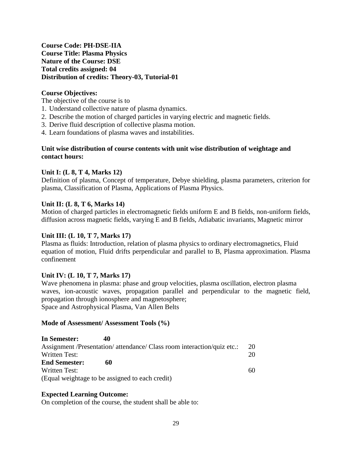**Course Code: PH-DSE-IIA Course Title: Plasma Physics Nature of the Course: DSE Total credits assigned: 04 Distribution of credits: Theory-03, Tutorial-01**

## **Course Objectives:**

The objective of the course is to

- 1. Understand collective nature of plasma dynamics.
- 2. Describe the motion of charged particles in varying electric and magnetic fields.
- 3. Derive fluid description of collective plasma motion.
- 4. Learn foundations of plasma waves and instabilities.

## **Unit wise distribution of course contents with unit wise distribution of weightage and contact hours:**

#### **Unit I: (L 8, T 4, Marks 12)**

Definition of plasma, Concept of temperature, Debye shielding, plasma parameters, criterion for plasma, Classification of Plasma, Applications of Plasma Physics.

## **Unit II: (L 8, T 6, Marks 14)**

Motion of charged particles in electromagnetic fields uniform E and B fields, non-uniform fields, diffusion across magnetic fields, varying E and B fields, Adiabatic invariants, Magnetic mirror

## **Unit III: (L 10, T 7, Marks 17)**

Plasma as fluids: Introduction, relation of plasma physics to ordinary electromagnetics, Fluid equation of motion, Fluid drifts perpendicular and parallel to B, Plasma approximation. Plasma confinement

## **Unit IV: (L 10, T 7, Marks 17)**

Wave phenomena in plasma: phase and group velocities, plasma oscillation, electron plasma waves, ion-acoustic waves, propagation parallel and perpendicular to the magnetic field, propagation through ionosphere and magnetosphere; Space and Astrophysical Plasma, Van Allen Belts

#### **Mode of Assessment/ Assessment Tools (%)**

| In Semester:         | 40                                                                      |    |
|----------------------|-------------------------------------------------------------------------|----|
|                      | Assignment /Presentation/ attendance/ Class room interaction/quiz etc.: | 20 |
| <b>Written Test:</b> |                                                                         | 20 |
| <b>End Semester:</b> | 60                                                                      |    |
| Written Test:        |                                                                         | 60 |
|                      | (Equal weightage to be assigned to each credit)                         |    |

## **Expected Learning Outcome:**

On completion of the course, the student shall be able to: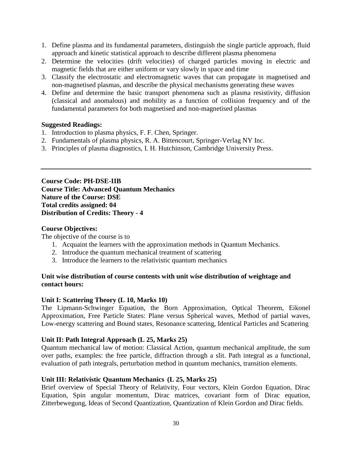- 1. Define plasma and its fundamental parameters, distinguish the single particle approach, fluid approach and kinetic statistical approach to describe different plasma phenomena
- 2. Determine the velocities (drift velocities) of charged particles moving in electric and magnetic fields that are either uniform or vary slowly in space and time
- 3. Classify the electrostatic and electromagnetic waves that can propagate in magnetised and non-magnetised plasmas, and describe the physical mechanisms generating these waves
- 4. Define and determine the basic transport phenomena such as plasma resistivity, diffusion (classical and anomalous) and mobility as a function of collision frequency and of the fundamental parameters for both magnetised and non-magnetised plasmas

## **Suggested Readings:**

- 1. Introduction to plasma physics, F. F. Chen, Springer.
- 2. Fundamentals of plasma physics, R. A. Bittencourt, Springer-Verlag NY Inc.
- 3. Principles of plasma diagnostics, I. H. Hutchinson, Cambridge University Press.

**Course Code: PH-DSE-IIB Course Title: Advanced Quantum Mechanics Nature of the Course: DSE Total credits assigned: 04 Distribution of Credits: Theory - 4**

## **Course Objectives:**

The objective of the course is to

- 1. Acquaint the learners with the approximation methods in Quantum Mechanics.
- 2. Introduce the quantum mechanical treatment of scattering
- 3. Introduce the learners to the relativistic quantum mechanics

## **Unit wise distribution of course contents with unit wise distribution of weightage and contact hours:**

## **Unit I: Scattering Theory (L 10, Marks 10)**

The Lipmann-Schwinger Equation, the Born Approximation, Optical Theorem, Eikonel Approximation, Free Particle States: Plane versus Spherical waves, Method of partial waves, Low-energy scattering and Bound states, Resonance scattering, Identical Particles and Scattering

## **Unit II: Path Integral Approach (L 25, Marks 25)**

Quantum mechanical law of motion: Classical Action, quantum mechanical amplitude, the sum over paths, examples: the free particle, diffraction through a slit. Path integral as a functional, evaluation of path integrals, perturbation method in quantum mechanics, transition elements.

## **Unit III: Relativistic Quantum Mechanics (L 25, Marks 25)**

Brief overview of Special Theory of Relativity, Four vectors, Klein Gordon Equation, Dirac Equation, Spin angular momentum, Dirac matrices, covariant form of Dirac equation, Zitterbewegung, Ideas of Second Quantization, Quantization of Klein Gordon and Dirac fields.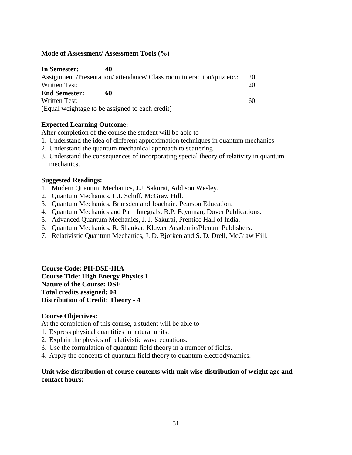## **Mode of Assessment/ Assessment Tools (%)**

| In Semester:         | 40                                                                      |    |
|----------------------|-------------------------------------------------------------------------|----|
|                      | Assignment /Presentation/ attendance/ Class room interaction/quiz etc.: | 20 |
| Written Test:        |                                                                         | 20 |
| <b>End Semester:</b> | 60                                                                      |    |
| <b>Written Test:</b> |                                                                         | 60 |
|                      | (Equal weightage to be assigned to each credit)                         |    |

# **Expected Learning Outcome:**

After completion of the course the student will be able to

- 1. Understand the idea of different approximation techniques in quantum mechanics
- 2. Understand the quantum mechanical approach to scattering
- 3. Understand the consequences of incorporating special theory of relativity in quantum mechanics.

## **Suggested Readings:**

- 1. Modern Quantum Mechanics, J.J. Sakurai, Addison Wesley.
- 2. Quantum Mechanics, L.I. Schiff, McGraw Hill.
- 3. Quantum Mechanics, Bransden and Joachain, Pearson Education.
- 4. Quantum Mechanics and Path Integrals, R.P. Feynman, Dover Publications.
- 5. Advanced Quantum Mechanics, J. J. Sakurai, Prentice Hall of India.
- 6. Quantum Mechanics, R. Shankar, Kluwer Academic/Plenum Publishers.
- 7. Relativistic Quantum Mechanics, J. D. Bjorken and S. D. Drell, McGraw Hill.

**Course Code: PH-DSE-IIIA Course Title: High Energy Physics I Nature of the Course: DSE Total credits assigned: 04 Distribution of Credit: Theory - 4**

## **Course Objectives:**

At the completion of this course, a student will be able to

- 1. Express physical quantities in natural units.
- 2. Explain the physics of relativistic wave equations.
- 3. Use the formulation of quantum field theory in a number of fields.
- 4. Apply the concepts of quantum field theory to quantum electrodynamics.

## **Unit wise distribution of course contents with unit wise distribution of weight age and contact hours:**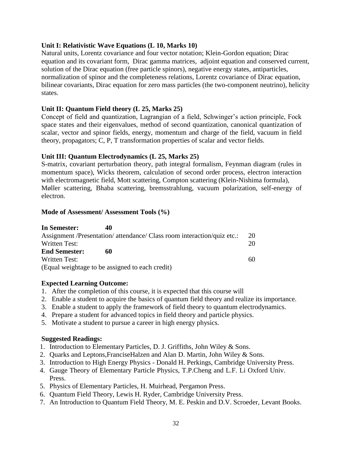## **Unit I: Relativistic Wave Equations (L 10, Marks 10)**

Natural units, Lorentz covariance and four vector notation; Klein-Gordon equation; Dirac equation and its covariant form, Dirac gamma matrices, adjoint equation and conserved current, solution of the Dirac equation (free particle spinors), negative energy states, antiparticles, normalization of spinor and the completeness relations, Lorentz covariance of Dirac equation, bilinear covariants, Dirac equation for zero mass particles (the two-component neutrino), helicity states.

## **Unit II: Quantum Field theory (L 25, Marks 25)**

Concept of field and quantization, Lagrangian of a field, Schwinger's action principle, Fock space states and their eigenvalues, method of second quantization, canonical quantization of scalar, vector and spinor fields, energy, momentum and charge of the field, vacuum in field theory, propagators; C, P, T transformation properties of scalar and vector fields.

## **Unit III: Quantum Electrodynamics (L 25, Marks 25)**

S-matrix, covariant perturbation theory, path integral formalism, Feynman diagram (rules in momentum space), Wicks theorem, calculation of second order process, electron interaction with electromagnetic field, Mott scattering, Compton scattering (Klein-Nishima formula), Møller scattering, Bhaba scattering, bremsstrahlung, vacuum polarization, self-energy of electron.

## **Mode of Assessment/ Assessment Tools (%)**

| In Semester:         |    |                                                                         |    |
|----------------------|----|-------------------------------------------------------------------------|----|
|                      |    | Assignment /Presentation/ attendance/ Class room interaction/quiz etc.: | 20 |
| Written Test:        |    |                                                                         | 20 |
| <b>End Semester:</b> | 60 |                                                                         |    |
| Written Test:        |    |                                                                         | 60 |
|                      |    | (Equal weightage to be assigned to each credit)                         |    |

## **Expected Learning Outcome:**

- 1. After the completion of this course, it is expected that this course will
- 2. Enable a student to acquire the basics of quantum field theory and realize its importance.
- 3. Enable a student to apply the framework of field theory to quantum electrodynamics.
- 4. Prepare a student for advanced topics in field theory and particle physics.
- 5. Motivate a student to pursue a career in high energy physics.

## **Suggested Readings:**

- 1. Introduction to Elementary Particles, D. J. Griffiths, John Wiley & Sons.
- 2. Quarks and Leptons,FranciseHalzen and Alan D. Martin, John Wiley & Sons.
- 3. Introduction to High Energy Physics Donald H. Perkings, Cambridge University Press.
- 4. Gauge Theory of Elementary Particle Physics, T.P.Cheng and L.F. Li Oxford Univ. Press.
- 5. Physics of Elementary Particles, H. Muirhead, Pergamon Press.
- 6. Quantum Field Theory, Lewis H. Ryder, Cambridge University Press.
- 7. An Introduction to Quantum Field Theory, M. E. Peskin and D.V. Scroeder, Levant Books.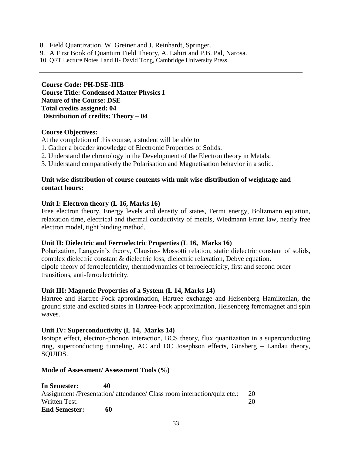- 8. Field Quantization, W. Greiner and J. Reinhardt, Springer.
- 9. A First Book of Quantum Field Theory, A. Lahiri and P.B. Pal, Narosa.
- 10. QFT Lecture Notes I and II- David Tong, Cambridge University Press.

**Course Code: PH-DSE-IIIB Course Title: Condensed Matter Physics I Nature of the Course: DSE Total credits assigned: 04 Distribution of credits: Theory – 04**

## **Course Objectives:**

- At the completion of this course, a student will be able to
- 1. Gather a broader knowledge of Electronic Properties of Solids.
- 2. Understand the chronology in the Development of the Electron theory in Metals.
- 3. Understand comparatively the Polarisation and Magnetisation behavior in a solid.

## **Unit wise distribution of course contents with unit wise distribution of weightage and contact hours:**

#### **Unit I: Electron theory (L 16, Marks 16)**

Free electron theory, Energy levels and density of states, Fermi energy, Boltzmann equation, relaxation time, electrical and thermal conductivity of metals, Wiedmann Franz law, nearly free electron model, tight binding method.

## **Unit II: Dielectric and Ferroelectric Properties (L 16, Marks 16)**

Polarization, Langevin's theory, Clausius- Mossotti relation, static dielectric constant of solids, complex dielectric constant & dielectric loss, dielectric relaxation, Debye equation. dipole theory of ferroelectricity, thermodynamics of ferroelectricity, first and second order transitions, anti-ferroelectricity.

## **Unit III: Magnetic Properties of a System (L 14, Marks 14)**

Hartree and Hartree-Fock approximation, Hartree exchange and Heisenberg Hamiltonian, the ground state and excited states in Hartree-Fock approximation, Heisenberg ferromagnet and spin waves.

## **Unit IV: Superconductivity (L 14, Marks 14)**

Isotope effect, electron-phonon interaction, BCS theory, flux quantization in a superconducting ring, superconducting tunneling, AC and DC Josephson effects, Ginsberg – Landau theory, SQUIDS.

## **Mode of Assessment/ Assessment Tools (%)**

| In Semester:         | 40                                                                      |    |
|----------------------|-------------------------------------------------------------------------|----|
|                      | Assignment /Presentation/ attendance/ Class room interaction/quiz etc.: |    |
| Written Test:        |                                                                         | 20 |
| <b>End Semester:</b> | 60                                                                      |    |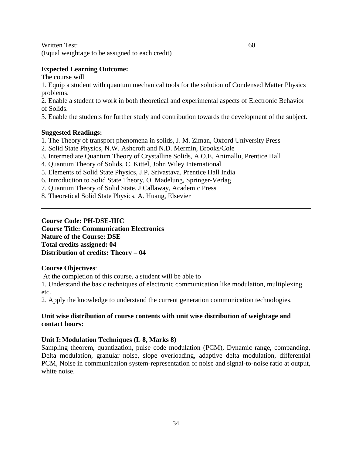Written Test: 60

(Equal weightage to be assigned to each credit)

## **Expected Learning Outcome:**

The course will

1. Equip a student with quantum mechanical tools for the solution of Condensed Matter Physics problems.

2. Enable a student to work in both theoretical and experimental aspects of Electronic Behavior of Solids.

3. Enable the students for further study and contribution towards the development of the subject.

## **Suggested Readings:**

- 1. The Theory of transport phenomena in solids, J. M. Ziman, Oxford University Press
- 2. Solid State Physics, N.W. Ashcroft and N.D. Mermin, Brooks/Cole
- 3. Intermediate Quantum Theory of Crystalline Solids, A.O.E. Animallu, Prentice Hall
- 4. Quantum Theory of Solids, C. Kittel, John Wiley International
- 5. Elements of Solid State Physics, J.P. Srivastava, Prentice Hall India
- 6. Introduction to Solid State Theory, O. Madelung, Springer-Verlag
- 7. Quantum Theory of Solid State, J Callaway, Academic Press
- 8. Theoretical Solid State Physics, A. Huang, Elsevier

**Course Code: PH-DSE-IIIC Course Title: Communication Electronics Nature of the Course: DSE Total credits assigned: 04 Distribution of credits: Theory – 04** 

## **Course Objectives**:

At the completion of this course, a student will be able to

1. Understand the basic techniques of electronic communication like modulation, multiplexing etc.

2. Apply the knowledge to understand the current generation communication technologies.

## **Unit wise distribution of course contents with unit wise distribution of weightage and contact hours:**

# **Unit I:Modulation Techniques (L 8, Marks 8)**

Sampling theorem, quantization, pulse code modulation (PCM), Dynamic range, companding, Delta modulation, granular noise, slope overloading, adaptive delta modulation, differential PCM, Noise in communication system-representation of noise and signal-to-noise ratio at output, white noise.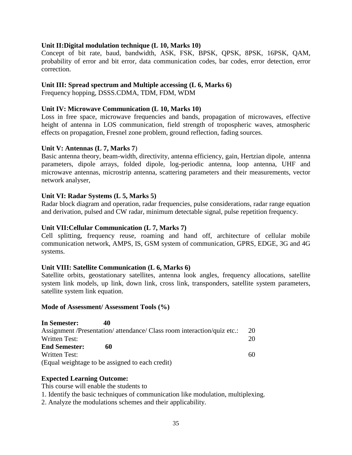## **Unit II:Digital modulation technique (L 10, Marks 10)**

Concept of bit rate, baud, bandwidth, ASK, FSK, BPSK, QPSK, 8PSK, 16PSK, QAM, probability of error and bit error, data communication codes, bar codes, error detection, error correction.

## **Unit III: Spread spectrum and Multiple accessing (L 6, Marks 6)**

Frequency hopping, DSSS.CDMA, TDM, FDM, WDM

## **Unit IV: Microwave Communication (L 10, Marks 10)**

Loss in free space, microwave frequencies and bands, propagation of microwaves, effective height of antenna in LOS communication, field strength of tropospheric waves, atmospheric effects on propagation, Fresnel zone problem, ground reflection, fading sources.

## **Unit V: Antennas (L 7, Marks 7**)

Basic antenna theory, beam-width, directivity, antenna efficiency, gain, Hertzian dipole, antenna parameters, dipole arrays, folded dipole, log-periodic antenna, loop antenna, UHF and microwave antennas, microstrip antenna, scattering parameters and their measurements, vector network analyser,

## **Unit VI: Radar Systems (L 5, Marks 5)**

Radar block diagram and operation, radar frequencies, pulse considerations, radar range equation and derivation, pulsed and CW radar, minimum detectable signal, pulse repetition frequency.

## **Unit VII:Cellular Communication (L 7, Marks 7)**

Cell splitting, frequency reuse, roaming and hand off, architecture of cellular mobile communication network, AMPS, IS, GSM system of communication, GPRS, EDGE, 3G and 4G systems.

## **Unit VIII: Satellite Communication (L 6, Marks 6)**

Satellite orbits, geostationary satellites, antenna look angles, frequency allocations, satellite system link models, up link, down link, cross link, transponders, satellite system parameters, satellite system link equation.

#### **Mode of Assessment/ Assessment Tools (%)**

| In Semester:         | 40                                                                      |    |
|----------------------|-------------------------------------------------------------------------|----|
|                      | Assignment /Presentation/ attendance/ Class room interaction/quiz etc.: | 20 |
| Written Test:        |                                                                         | 20 |
| <b>End Semester:</b> | 60                                                                      |    |
| Written Test:        |                                                                         | 60 |
|                      | (Equal weightage to be assigned to each credit)                         |    |

## **Expected Learning Outcome:**

This course will enable the students to

1. Identify the basic techniques of communication like modulation, multiplexing.

2. Analyze the modulations schemes and their applicability.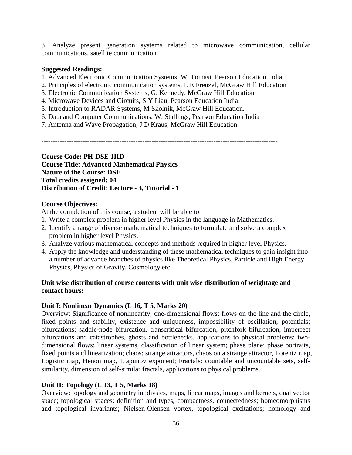3. Analyze present generation systems related to microwave communication, cellular communications, satellite communication.

## **Suggested Readings:**

- 1. Advanced Electronic Communication Systems, W. Tomasi, Pearson Education India.
- 2. Principles of electronic communication systems, L E Frenzel, McGraw Hill Education
- 3. Electronic Communication Systems, G. Kennedy, McGraw Hill Education
- 4. Microwave Devices and Circuits, S Y Liau, Pearson Education India.
- 5. Introduction to RADAR Systems, M Skolnik, McGraw Hill Education.
- 6. Data and Computer Communications, W. Stallings, Pearson Education India
- 7. Antenna and Wave Propagation, J D Kraus, McGraw Hill Education

**-------------------------------------------------------------------------------------------------------**

**Course Code: PH-DSE-IIID Course Title: Advanced Mathematical Physics Nature of the Course: DSE Total credits assigned: 04 Distribution of Credit: Lecture - 3, Tutorial - 1**

## **Course Objectives:**

At the completion of this course, a student will be able to

- 1. Write a complex problem in higher level Physics in the language in Mathematics.
- 2. Identify a range of diverse mathematical techniques to formulate and solve a complex problem in higher level Physics.
- 3. Analyze various mathematical concepts and methods required in higher level Physics.
- 4. Apply the knowledge and understanding of these mathematical techniques to gain insight into a number of advance branches of physics like Theoretical Physics, Particle and High Energy Physics, Physics of Gravity, Cosmology etc.

# **Unit wise distribution of course contents with unit wise distribution of weightage and contact hours:**

# **Unit I: Nonlinear Dynamics (L 16, T 5, Marks 20)**

Overview: Significance of nonlinearity; one-dimensional flows: flows on the line and the circle, fixed points and stability, existence and uniqueness, impossibility of oscillation, potentials; bifurcations: saddle-node bifurcation, transcritical bifurcation, pitchfork bifurcation, imperfect bifurcations and catastrophes, ghosts and bottlenecks, applications to physical problems; twodimensional flows: linear systems, classification of linear system; phase plane: phase portraits, fixed points and linearization; chaos: strange attractors, chaos on a strange attractor, Lorentz map, Logistic map, Henon map, Liapunov exponent; Fractals: countable and uncountable sets, selfsimilarity, dimension of self-similar fractals, applications to physical problems.

# **Unit II: Topology (L 13, T 5, Marks 18)**

Overview: topology and geometry in physics, maps, linear maps, images and kernels, dual vector space; topological spaces: definition and types, compactness, connectedness; homeomorphisms and topological invariants; Nielsen-Olensen vortex, topological excitations; homology and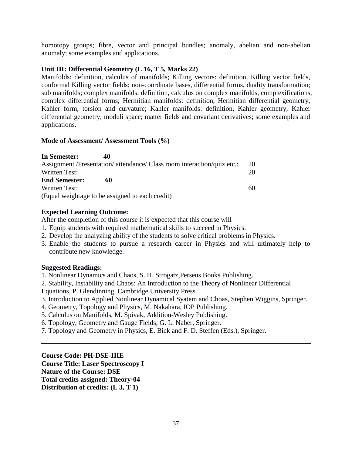homotopy groups; fibre, vector and principal bundles; anomaly, abelian and non-abelian anomaly; some examples and applications.

## **Unit III: Differential Geometry (L 16, T 5, Marks 22)**

Manifolds: definition, calculus of manifolds; Killing vectors: definition, Killing vector fields, conformal Killing vector fields; non-coordinate bases, differential forms, duality transformation; sub manifolds; complex manifolds: definition, calculus on complex manifolds, complexifications, complex differential forms; Hermitian manifolds: definition, Hermitian differential geometry, Kahler form, torsion and curvature; Kahler manifolds: definition, Kahler geometry, Kahler differential geometry; moduli space; matter fields and covariant derivatives; some examples and applications.

## **Mode of Assessment/ Assessment Tools (%)**

| In Semester:         | 40                                                                      |    |
|----------------------|-------------------------------------------------------------------------|----|
|                      | Assignment /Presentation/ attendance/ Class room interaction/quiz etc.: | 20 |
| Written Test:        |                                                                         | 20 |
| <b>End Semester:</b> | 60                                                                      |    |
| Written Test:        |                                                                         | 60 |
|                      | (Equal weightage to be assigned to each credit)                         |    |

# **Expected Learning Outcome:**

After the completion of this course it is expected that this course will

- 1. Equip students with required mathematical skills to succeed in Physics.
- 2. Develop the analyzing ability of the students to solve critical problems in Physics.
- 3. Enable the students to pursue a research career in Physics and will ultimately help to contribute new knowledge.

# **Suggested Readings:**

1. Nonlinear Dynamics and Chaos, S. H. Strogatz,Perseus Books Publishing.

2. Stability, Instability and Chaos: An Introduction to the Theory of Nonlinear Differential

Equations, P. Glendinning, Cambridge University Press.

- 3. Introduction to Applied Nonlinear Dynamical Syatem and Choas, Stephen Wiggins, Springer.
- 4. Geometry, Topology and Physics, M. Nakahara, IOP Publishing.
- 5. Calculus on Manifolds, M. Spivak, Addition-Wesley Publishing.
- 6. Topology, Geometry and Gauge Fields, G. L. Naber, Springer.
- 7. Topology and Geometry in Physics, E. Bick and F. D. Steffen (Eds.), Springer.

**Course Code: PH-DSE-IIIE Course Title: Laser Spectroscopy I Nature of the Course: DSE Total credits assigned: Theory-04 Distribution of credits: (L 3, T 1)**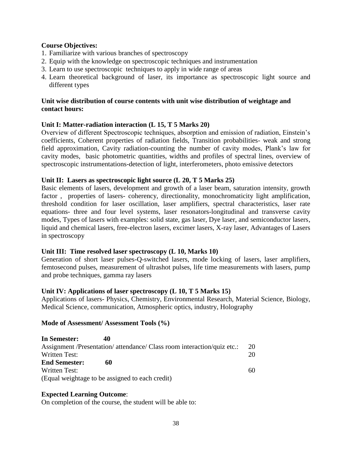## **Course Objectives:**

- 1. Familiarize with various branches of spectroscopy
- 2. Equip with the knowledge on spectroscopic techniques and instrumentation
- 3. Learn to use spectroscopic techniques to apply in wide range of areas
- 4. Learn theoretical background of laser, its importance as spectroscopic light source and different types

## **Unit wise distribution of course contents with unit wise distribution of weightage and contact hours:**

## **Unit I: Matter-radiation interaction (L 15, T 5 Marks 20)**

Overview of different Spectroscopic techniques, absorption and emission of radiation, Einstein's coefficients, Coherent properties of radiation fields, Transition probabilities- weak and strong field approximation, Cavity radiation-counting the number of cavity modes, Plank's law for cavity modes, basic photometric quantities, widths and profiles of spectral lines, overview of spectroscopic instrumentations-detection of light, interferometers, photo emissive detectors

## **Unit II: Lasers as spectroscopic light source (L 20, T 5 Marks 25)**

Basic elements of lasers, development and growth of a laser beam, saturation intensity, growth factor, properties of lasers- coherency, directionality, monochromaticity light amplification, threshold condition for laser oscillation, laser amplifiers, spectral characteristics, laser rate equations- three and four level systems, laser resonators-longitudinal and transverse cavity modes, Types of lasers with examples: solid state, gas laser, Dye laser, and semiconductor lasers, liquid and chemical lasers, free-electron lasers, excimer lasers, X-ray laser, Advantages of Lasers in spectroscopy

## **Unit III: Time resolved laser spectroscopy (L 10, Marks 10)**

Generation of short laser pulses-Q-switched lasers, mode locking of lasers, laser amplifiers, femtosecond pulses, measurement of ultrashot pulses, life time measurements with lasers, pump and probe techniques, gamma ray lasers

## **Unit IV: Applications of laser spectroscopy (L 10, T 5 Marks 15)**

Applications of lasers- Physics, Chemistry, Environmental Research, Material Science, Biology, Medical Science, communication, Atmospheric optics, industry, Holography

## **Mode of Assessment/ Assessment Tools (%)**

| In Semester:         | 40                                                                      |    |
|----------------------|-------------------------------------------------------------------------|----|
|                      | Assignment /Presentation/ attendance/ Class room interaction/quiz etc.: | 20 |
| Written Test:        |                                                                         | 20 |
| <b>End Semester:</b> | 60                                                                      |    |
| <b>Written Test:</b> |                                                                         | 60 |
|                      | (Equal weightage to be assigned to each credit)                         |    |

# **Expected Learning Outcome**:

On completion of the course, the student will be able to: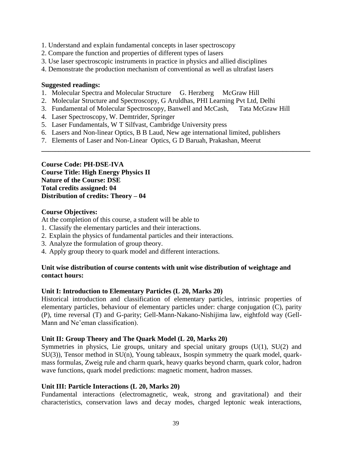- 1. Understand and explain fundamental concepts in laser spectroscopy
- 2. Compare the function and properties of different types of lasers
- 3. Use laser spectroscopic instruments in practice in physics and allied disciplines
- 4. Demonstrate the production mechanism of conventional as well as ultrafast lasers

## **Suggested readings:**

- 1. Molecular Spectra and Molecular Structure G. Herzberg McGraw Hill
- 2. Molecular Structure and Spectroscopy, G Aruldhas, PHI Learning Pvt Ltd, Delhi
- 3. Fundamental of Molecular Spectroscopy, Banwell and McCash, Tata McGraw Hill

**\_\_\_\_\_\_\_\_\_\_\_\_\_\_\_\_\_\_\_\_\_\_\_\_\_\_\_\_\_\_\_\_\_\_\_\_\_\_\_\_\_\_\_\_\_\_\_\_\_\_\_\_\_\_\_\_\_\_\_\_\_\_\_\_\_\_\_\_\_\_\_\_\_\_\_\_\_\_**

- 4. Laser Spectroscopy, W. Demtrider, Springer
- 5. Laser Fundamentals, W T Silfvast, Cambridge University press
- 6. Lasers and Non-linear Optics, B B Laud, New age international limited, publishers
- 7. Elements of Laser and Non-Linear Optics, G D Baruah, Prakashan, Meerut

**Course Code: PH-DSE-IVA Course Title: High Energy Physics II Nature of the Course: DSE Total credits assigned: 04 Distribution of credits: Theory – 04** 

## **Course Objectives:**

At the completion of this course, a student will be able to

- 1. Classify the elementary particles and their interactions.
- 2. Explain the physics of fundamental particles and their interactions.
- 3. Analyze the formulation of group theory.
- 4. Apply group theory to quark model and different interactions.

## **Unit wise distribution of course contents with unit wise distribution of weightage and contact hours:**

## **Unit I: Introduction to Elementary Particles (L 20, Marks 20)**

Historical introduction and classification of elementary particles, intrinsic properties of elementary particles, behaviour of elementary particles under: charge conjugation (C), parity (P), time reversal (T) and G-parity; Gell-Mann-Nakano-Nishijima law, eightfold way (Gell-Mann and Ne'eman classification).

# **Unit II: Group Theory and The Quark Model (L 20, Marks 20)**

Symmetries in physics, Lie groups, unitary and special unitary groups  $(U(1), SU(2))$  and SU(3)), Tensor method in SU(n), Young tableaux, Isospin symmetry the quark model, quarkmass formulas, Zweig rule and charm quark, heavy quarks beyond charm, quark color, hadron wave functions, quark model predictions: magnetic moment, hadron masses.

# **Unit III: Particle Interactions (L 20, Marks 20)**

Fundamental interactions (electromagnetic, weak, strong and gravitational) and their characteristics, conservation laws and decay modes, charged leptonic weak interactions,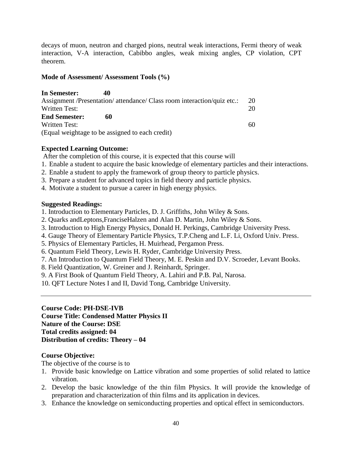decays of muon, neutron and charged pions, neutral weak interactions, Fermi theory of weak interaction, V-A interaction, Cabibbo angles, weak mixing angles, CP violation, CPT theorem.

## **Mode of Assessment/ Assessment Tools (%)**

| In Semester:         | 40                                                                      |    |
|----------------------|-------------------------------------------------------------------------|----|
|                      | Assignment /Presentation/ attendance/ Class room interaction/quiz etc.: | 20 |
| Written Test:        |                                                                         | 20 |
| <b>End Semester:</b> | 60                                                                      |    |
| Written Test:        |                                                                         | 60 |
|                      | (Equal weightage to be assigned to each credit)                         |    |

# **Expected Learning Outcome:**

After the completion of this course, it is expected that this course will

- 1. Enable a student to acquire the basic knowledge of elementary particles and their interactions.
- 2. Enable a student to apply the framework of group theory to particle physics.
- 3. Prepare a student for advanced topics in field theory and particle physics.
- 4. Motivate a student to pursue a career in high energy physics.

# **Suggested Readings:**

- 1. Introduction to Elementary Particles, D. J. Griffiths, John Wiley & Sons.
- 2. Quarks andLeptons,FranciseHalzen and Alan D. Martin, John Wiley & Sons.
- 3. Introduction to High Energy Physics, Donald H. Perkings, Cambridge University Press.
- 4. Gauge Theory of Elementary Particle Physics, T.P.Cheng and L.F. Li, Oxford Univ. Press.
- 5. Physics of Elementary Particles, H. Muirhead, Pergamon Press.
- 6. Quantum Field Theory, Lewis H. Ryder, Cambridge University Press.
- 7. An Introduction to Quantum Field Theory, M. E. Peskin and D.V. Scroeder, Levant Books.
- 8. Field Quantization, W. Greiner and J. Reinhardt, Springer.
- 9. A First Book of Quantum Field Theory, A. Lahiri and P.B. Pal, Narosa.
- 10. QFT Lecture Notes I and II, David Tong, Cambridge University.

**Course Code: PH-DSE-IVB Course Title: Condensed Matter Physics II Nature of the Course: DSE Total credits assigned: 04 Distribution of credits: Theory – 04** 

# **Course Objective:**

The objective of the course is to

- 1. Provide basic knowledge on Lattice vibration and some properties of solid related to lattice vibration.
- 2. Develop the basic knowledge of the thin film Physics. It will provide the knowledge of preparation and characterization of thin films and its application in devices.
- 3. Enhance the knowledge on semiconducting properties and optical effect in semiconductors.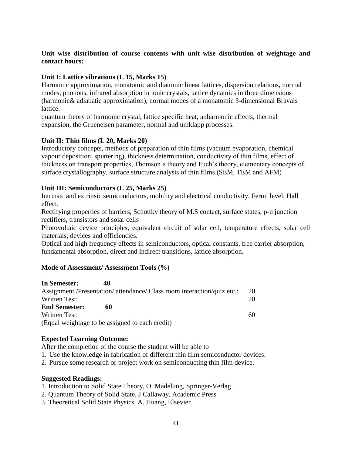# **Unit wise distribution of course contents with unit wise distribution of weightage and contact hours:**

# **Unit I: Lattice vibrations (L 15, Marks 15)**

Harmonic approximation, monatomic and diatomic linear lattices, dispersion relations, normal modes, phonons, infrared absorption in ionic crystals, lattice dynamics in three dimensions (harmonic& adiabatic approximation), normal modes of a monatomic 3-dimensional Bravais lattice.

quantum theory of harmonic crystal, lattice specific heat, anharmonic effects, thermal expansion, the Grueneisen parameter, normal and umklapp processes.

# **Unit II: Thin films (L 20, Marks 20)**

Introductory concepts, methods of preparation of thin films (vacuum evaporation, chemical vapour deposition, sputtering), thickness determination, conductivity of thin films, effect of thickness on transport properties, Thomson's theory and Fuch's theory, elementary concepts of surface crystallography, surface structure analysis of thin films (SEM, TEM and AFM)

# **Unit III: Semiconductors (L 25, Marks 25)**

Intrinsic and extrinsic semiconductors, mobility and electrical conductivity, Fermi level, Hall effect.

Rectifying properties of barriers, Schottky theory of M.S contact, surface states, p-n junction rectifiers, transistors and solar cells

Photovoltaic device principles, equivalent circuit of solar cell, temperature effects, solar cell materials, devices and efficiencies.

Optical and high frequency effects in semiconductors, optical constants, free carrier absorption, fundamental absorption, direct and indirect transitions, lattice absorption.

# **Mode of Assessment/ Assessment Tools (%)**

| In Semester:         | 40                                                                      |    |
|----------------------|-------------------------------------------------------------------------|----|
|                      | Assignment /Presentation/ attendance/ Class room interaction/quiz etc.: | 20 |
| Written Test:        |                                                                         | 20 |
| <b>End Semester:</b> | 60                                                                      |    |
| Written Test:        |                                                                         | 60 |
|                      | (Equal weightage to be assigned to each credit)                         |    |

# **Expected Learning Outcome:**

After the completion of the course the student will be able to

- 1. Use the knowledge in fabrication of different thin film semiconductor devices.
- 2. Pursue some research or project work on semiconducting thin film device.

## **Suggested Readings:**

- 1. Introduction to Solid State Theory, O. Madelung, Springer-Verlag
- 2. Quantum Theory of Solid State, J Callaway, Academic Press
- 3. Theoretical Solid State Physics, A. Huang, Elsevier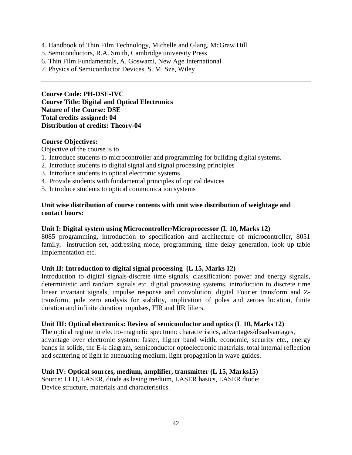- 4. Handbook of Thin Film Technology, Michelle and Glang, McGraw Hill
- 5. Semiconductors, R.A. Smith, Cambridge university Press
- 6. Thin Film Fundamentals, A. Goswami, New Age International
- 7. Physics of Semiconductor Devices, S. M. Sze, Wiley

**Course Code: PH-DSE-IVC Course Title: Digital and Optical Electronics Nature of the Course: DSE Total credits assigned: 04 Distribution of credits: Theory-04**

#### **Course Objectives:**

Objective of the course is to

- 1. Introduce students to microcontroller and programming for building digital systems.
- 2. Introduce students to digital signal and signal processing principles
- 3. Introduce students to optical electronic systems
- 4. Provide students with fundamental principles of optical devices
- 5. Introduce students to optical communication systems

#### **Unit wise distribution of course contents with unit wise distribution of weightage and contact hours:**

#### **Unit I: Digital system using Microcontroller/Microprocessor (L 10, Marks 12)**

8085 programming, introduction to specification and architecture of microcontroller, 8051 family, instruction set, addressing mode, programming, time delay generation, look up table implementation etc.

#### **Unit II: Introduction to digital signal processing (L 15, Marks 12)**

Introduction to digital signals-discrete time signals, classification: power and energy signals, deterministic and random signals etc. digital processing systems, introduction to discrete time linear invariant signals, impulse response and convolution, digital Fourier transform and Ztransform, pole zero analysis for stability, implication of poles and zeroes location, finite duration and infinite duration impulses, FIR and IIR filters.

#### **Unit III: Optical electronics: Review of semiconductor and optics (L 10, Marks 12)**

The optical regime in electro-magnetic spectrum: characteristics, advantages/disadvantages, advantage over electronic system: faster, higher band width, economic, security etc., energy bands in solids, the E-k diagram, semiconductor optoelectronic materials, total internal reflection and scattering of light in attenuating medium, light propagation in wave guides.

## **Unit IV: Optical sources, medium, amplifier, transmitter (L 15, Marks15)**

Source: LED, LASER, diode as lasing medium, LASER basics, LASER diode: Device structure, materials and characteristics.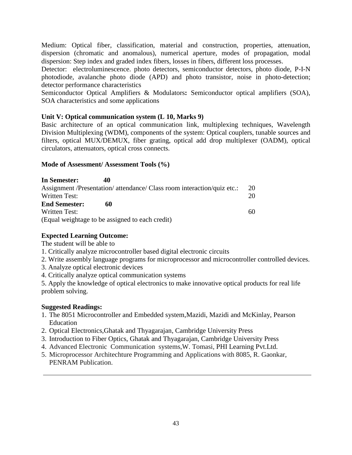Medium: Optical fiber, classification, material and construction, properties, attenuation, dispersion (chromatic and anomalous), numerical aperture, modes of propagation, modal dispersion: Step index and graded index fibers, losses in fibers, different loss processes.

Detector: electroluminescence. photo detectors, semiconductor detectors, photo diode, P-I-N photodiode, avalanche photo diode (APD) and photo transistor, noise in photo-detection; detector performance characteristics

Semiconductor Optical Amplifiers & Modulators**:** Semiconductor optical amplifiers (SOA), SOA characteristics and some applications

# **Unit V: Optical communication system (L 10, Marks 9)**

Basic architecture of an optical communication link, multiplexing techniques, Wavelength Division Multiplexing (WDM), components of the system: Optical couplers, tunable sources and filters, optical MUX/DEMUX, fiber grating, optical add drop multiplexer (OADM), optical circulators, attenuators, optical cross connects.

# **Mode of Assessment/ Assessment Tools (%)**

| In Semester:         | 40                                                                      |     |
|----------------------|-------------------------------------------------------------------------|-----|
|                      | Assignment /Presentation/ attendance/ Class room interaction/quiz etc.: | -20 |
| Written Test:        |                                                                         | 20  |
| <b>End Semester:</b> | 60                                                                      |     |
| Written Test:        |                                                                         | 60  |
|                      | (Equal weightage to be assigned to each credit)                         |     |

# **Expected Learning Outcome:**

The student will be able to

- 1. Critically analyze microcontroller based digital electronic circuits
- 2. Write assembly language programs for microprocessor and microcontroller controlled devices.
- 3. Analyze optical electronic devices
- 4. Critically analyze optical communication systems

5. Apply the knowledge of optical electronics to make innovative optical products for real life problem solving.

# **Suggested Readings:**

- 1. The 8051 Microcontroller and Embedded system,Mazidi, Mazidi and McKinlay, Pearson Education
- 2. Optical Electronics,Ghatak and Thyagarajan, Cambridge University Press
- 3. Introduction to Fiber Optics, Ghatak and Thyagarajan, Cambridge University Press
- 4. Advanced Electronic Communication systems,W. Tomasi, PHI Learning Pvt.Ltd.
- 5. Microprocessor Architechture Programming and Applications with 8085, R. Gaonkar, PENRAM Publication.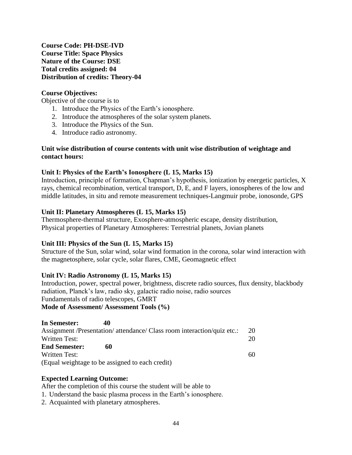**Course Code: PH-DSE-IVD Course Title: Space Physics Nature of the Course: DSE Total credits assigned: 04 Distribution of credits: Theory-04**

## **Course Objectives:**

Objective of the course is to

- 1. Introduce the Physics of the Earth's ionosphere.
- 2. Introduce the atmospheres of the solar system planets.
- 3. Introduce the Physics of the Sun.
- 4. Introduce radio astronomy.

## **Unit wise distribution of course contents with unit wise distribution of weightage and contact hours:**

## **Unit I: Physics of the Earth's Ionosphere (L 15, Marks 15)**

Introduction, principle of formation, Chapman's hypothesis, ionization by energetic particles, X rays, chemical recombination, vertical transport, D, E, and F layers, ionospheres of the low and middle latitudes, in situ and remote measurement techniques-Langmuir probe, ionosonde, GPS

## **Unit II: Planetary Atmospheres (L 15, Marks 15)**

Thermosphere-thermal structure, Exosphere-atmospheric escape, density distribution, Physical properties of Planetary Atmospheres: Terrestrial planets, Jovian planets

## **Unit III: Physics of the Sun (L 15, Marks 15)**

Structure of the Sun, solar wind, solar wind formation in the corona, solar wind interaction with the magnetosphere, solar cycle, solar flares, CME, Geomagnetic effect

## **Unit IV: Radio Astronomy (L 15, Marks 15)**

Introduction, power, spectral power, brightness, discrete radio sources, flux density, blackbody radiation, Planck's law, radio sky, galactic radio noise, radio sources Fundamentals of radio telescopes, GMRT **Mode of Assessment/ Assessment Tools (%)** 

| In Semester:         | 40                                                                      |    |
|----------------------|-------------------------------------------------------------------------|----|
|                      | Assignment /Presentation/ attendance/ Class room interaction/quiz etc.: | 20 |
| Written Test:        |                                                                         | 20 |
| <b>End Semester:</b> | 60                                                                      |    |
| Written Test:        |                                                                         | 60 |
|                      | (Equal weightage to be assigned to each credit)                         |    |

# **Expected Learning Outcome:**

After the completion of this course the student will be able to

- 1. Understand the basic plasma process in the Earth's ionosphere.
- 2. Acquainted with planetary atmospheres.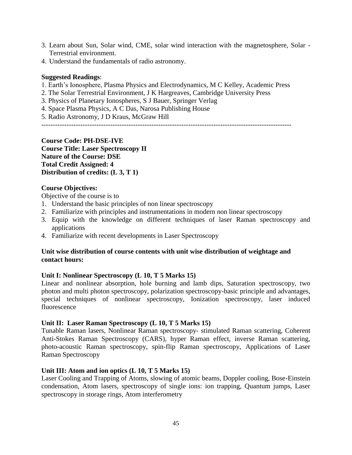- 3. Learn about Sun, Solar wind, CME, solar wind interaction with the magnetosphere, Solar Terrestrial environment.
- 4. Understand the fundamentals of radio astronomy.

#### **Suggested Readings**:

- 1. Earth's Ionosphere, Plasma Physics and Electrodynamics, M C Kelley, Academic Press
- 2. The Solar Terrestrial Environment, J K Hargreaves, Cambridge University Press
- 3. Physics of Planetary Ionospheres, S J Bauer, Springer Verlag
- 4. Space Plasma Physics, A C Das, Narosa Publishing House

5. Radio Astronomy, J D Kraus, McGraw Hill

-------------------------------------------------------------------------------------------------------------

**Course Code: PH-DSE-IVE Course Title: Laser Spectroscopy II Nature of the Course: DSE Total Credit Assigned: 4 Distribution of credits: (L 3, T 1)**

## **Course Objectives:**

Objective of the course is to

- 1. Understand the basic principles of non linear spectroscopy
- 2. Familiarize with principles and instrumentations in modern non linear spectroscopy
- 3. Equip with the knowledge on different techniques of laser Raman spectroscopy and applications
- 4. Familiarize with recent developments in Laser Spectroscopy

## **Unit wise distribution of course contents with unit wise distribution of weightage and contact hours:**

## **Unit I: Nonlinear Spectroscopy (L 10, T 5 Marks 15)**

Linear and nonlinear absorption, hole burning and lamb dips, Saturation spectroscopy, two photon and multi photon spectroscopy, polarization spectroscopy-basic principle and advantages, special techniques of nonlinear spectroscopy, Ionization spectroscopy, laser induced fluorescence

## **Unit II: Laser Raman Spectroscopy (L 10, T 5 Marks 15)**

Tunable Raman lasers, Nonlinear Raman spectroscopy- stimulated Raman scattering, Coherent Anti-Stokes Raman Spectroscopy (CARS), hyper Raman effect, inverse Raman scattering, photo-acoustic Raman spectroscopy, spin-flip Raman spectroscopy, Applications of Laser Raman Spectroscopy

## **Unit III: Atom and ion optics (L 10, T 5 Marks 15)**

Laser Cooling and Trapping of Atoms, slowing of atomic beams, Doppler cooling, Bose-Einstein condensation, Atom lasers, spectroscopy of single ions: ion trapping, Quantum jumps, Laser spectroscopy in storage rings, Atom interferometry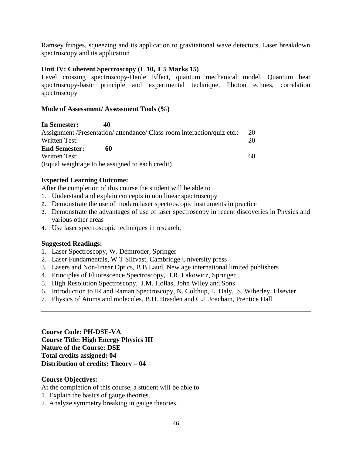Ramsey fringes, squeezing and its application to gravitational wave detectors, Laser breakdown spectroscopy and its application

## **Unit IV: Coherent Spectroscopy (L 10, T 5 Marks 15)**

Level crossing spectroscopy-Hanle Effect, quantum mechanical model, Quantum beat spectroscopy-basic principle and experimental technique, Photon echoes, correlation spectroscopy

## **Mode of Assessment/ Assessment Tools (%)**

**In Semester: 40**  Assignment /Presentation/ attendance/ Class room interaction/quiz etc.: 20 Written Test: 20 **End Semester: 60**  Written Test: 60 (Equal weightage to be assigned to each credit)

## **Expected Learning Outcome:**

After the completion of this course the student will be able to

- 1. Understand and explain concepts in non linear spectroscopy
- 2. Demonstrate the use of modern laser spectroscopic instruments in practice
- 3. Demonstrate the advantages of use of laser spectroscopy in recent discoveries in Physics and various other areas
- 4. Use laser spectroscopic techniques in research.

## **Suggested Readings:**

- 1. Laser Spectroscopy, W. Demtroder, Springer
- 2. Laser Fundamentals, W T Silfvast, Cambridge University press
- 3. Lasers and Non-linear Optics, B B Laud, New age international limited publishers
- 4. Principles of Fluorescence Spectroscopy, J.R. Lakowicz, Springer
- 5. High Resolution Spectroscopy, J.M. Hollas, John Wiley and Sons
- 6. Introduction to IR and Raman Spectroscopy, N. Colthup, L. Daly, S. Wiberley, Elsevier
- 7. Physics of Atoms and molecules, B.H. Brasden and C.J. Joachain, Prentice Hall.

**Course Code: PH-DSE-VA Course Title: High Energy Physics III Nature of the Course: DSE Total credits assigned: 04 Distribution of credits: Theory – 04** 

## **Course Objectives:**

At the completion of this course, a student will be able to

- 1. Explain the basics of gauge theories.
- 2. Analyze symmetry breaking in gauge theories.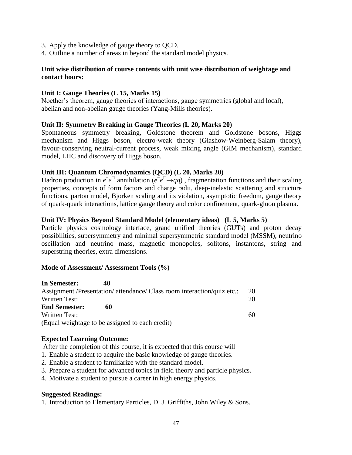- 3. Apply the knowledge of gauge theory to QCD.
- 4. Outline a number of areas in beyond the standard model physics.

#### **Unit wise distribution of course contents with unit wise distribution of weightage and contact hours:**

#### **Unit I: Gauge Theories (L 15, Marks 15)**

Noether's theorem, gauge theories of interactions, gauge symmetries (global and local), abelian and non-abelian gauge theories (Yang-Mills theories).

#### **Unit II: Symmetry Breaking in Gauge Theories (L 20, Marks 20)**

Spontaneous symmetry breaking, Goldstone theorem and Goldstone bosons, Higgs mechanism and Higgs boson, electro-weak theory (Glashow-Weinberg-Salam theory), favour-conserving neutral-current process, weak mixing angle (GIM mechanism), standard model, LHC and discovery of Higgs boson.

#### **Unit III: Quantum Chromodynamics (QCD) (L 20, Marks 20)**

Hadron production in  $e^-e^{\square}$  annihilation ( $e^-e^{\square} \rightarrow qq$ ), fragmentation functions and their scaling properties, concepts of form factors and charge radii, deep-inelastic scattering and structure functions, parton model, Bjorken scaling and its violation, asymptotic freedom, gauge theory of quark-quark interactions, lattice gauge theory and color confinement, quark-gluon plasma.

#### **Unit IV: Physics Beyond Standard Model (elementary ideas) (L 5, Marks 5)**

Particle physics cosmology interface, grand unified theories (GUTs) and proton decay possibilities, supersymmetry and minimal supersymmetric standard model (MSSM), neutrino oscillation and neutrino mass, magnetic monopoles, solitons, instantons, string and superstring theories, extra dimensions.

#### **Mode of Assessment/ Assessment Tools (%)**

| In Semester:<br>40                                                      |    |
|-------------------------------------------------------------------------|----|
| Assignment /Presentation/ attendance/ Class room interaction/quiz etc.: | 20 |
| <b>Written Test:</b>                                                    | 20 |
| <b>End Semester:</b><br>60                                              |    |
| Written Test:                                                           | 60 |
| (Equal weightage to be assigned to each credit)                         |    |

#### **Expected Learning Outcome:**

After the completion of this course, it is expected that this course will

- 1. Enable a student to acquire the basic knowledge of gauge theories.
- 2. Enable a student to familiarize with the standard model.
- 3. Prepare a student for advanced topics in field theory and particle physics.
- 4. Motivate a student to pursue a career in high energy physics.

#### **Suggested Readings:**

1. Introduction to Elementary Particles, D. J. Griffiths, John Wiley & Sons.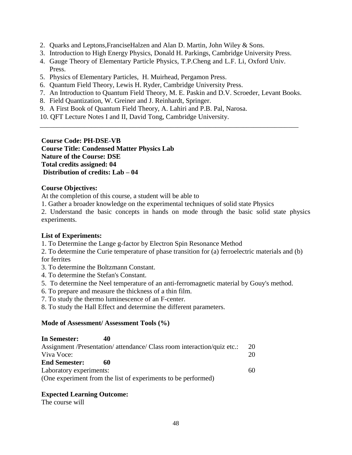- 2. Quarks and Leptons,FranciseHalzen and Alan D. Martin, John Wiley & Sons.
- 3. Introduction to High Energy Physics, Donald H. Parkings, Cambridge University Press.
- 4. Gauge Theory of Elementary Particle Physics, T.P.Cheng and L.F. Li, Oxford Univ. Press.
- 5. Physics of Elementary Particles, H. Muirhead, Pergamon Press.
- 6. Quantum Field Theory, Lewis H. Ryder, Cambridge University Press.
- 7. An Introduction to Quantum Field Theory, M. E. Paskin and D.V. Scroeder, Levant Books.

\_\_\_\_\_\_\_\_\_\_\_\_\_\_\_\_\_\_\_\_\_\_\_\_\_\_\_\_\_\_\_\_\_\_\_\_\_\_\_\_\_\_\_\_\_\_\_\_\_\_\_\_\_\_\_\_\_\_\_\_\_\_\_\_\_\_\_\_\_\_\_\_\_\_\_

- 8. Field Quantization, W. Greiner and J. Reinhardt, Springer.
- 9. A First Book of Quantum Field Theory, A. Lahiri and P.B. Pal, Narosa.
- 10. QFT Lecture Notes I and II, David Tong, Cambridge University.

**Course Code: PH-DSE-VB Course Title: Condensed Matter Physics Lab Nature of the Course: DSE Total credits assigned: 04 Distribution of credits: Lab – 04**

## **Course Objectives:**

At the completion of this course, a student will be able to

1. Gather a broader knowledge on the experimental techniques of solid state Physics

2. Understand the basic concepts in hands on mode through the basic solid state physics experiments.

## **List of Experiments:**

1. To Determine the Lange g-factor by Electron Spin Resonance Method

2. To determine the Curie temperature of phase transition for (a) ferroelectric materials and (b) for ferrites

- 3. To determine the Boltzmann Constant.
- 4. To determine the Stefan's Constant.
- 5. To determine the Neel temperature of an anti-ferromagnetic material by Gouy's method.
- 6. To prepare and measure the thickness of a thin film.
- 7. To study the thermo luminescence of an F-center.
- 8. To study the Hall Effect and determine the different parameters.

## **Mode of Assessment/ Assessment Tools (%)**

| In Semester:            | 40 |                                                                         |    |
|-------------------------|----|-------------------------------------------------------------------------|----|
|                         |    | Assignment /Presentation/ attendance/ Class room interaction/quiz etc.: | 20 |
| Viva Voce:              |    |                                                                         | 20 |
| <b>End Semester:</b>    | 60 |                                                                         |    |
| Laboratory experiments: |    |                                                                         | 60 |
|                         |    | (One experiment from the list of experiments to be performed)           |    |

# **Expected Learning Outcome:**

The course will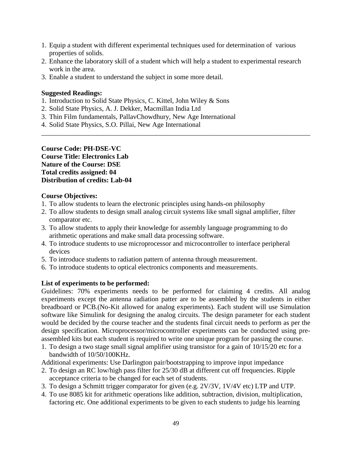- 1. Equip a student with different experimental techniques used for determination of various properties of solids.
- 2. Enhance the laboratory skill of a student which will help a student to experimental research work in the area.

\_\_\_\_\_\_\_\_\_\_\_\_\_\_\_\_\_\_\_\_\_\_\_\_\_\_\_\_\_\_\_\_\_\_\_\_\_\_\_\_\_\_\_\_\_\_\_\_\_\_\_\_\_\_\_\_\_\_\_\_\_\_\_\_\_\_\_\_\_\_\_\_\_\_\_\_\_\_

3. Enable a student to understand the subject in some more detail.

## **Suggested Readings:**

- 1. Introduction to Solid State Physics, C. Kittel, John Wiley & Sons
- 2. Solid State Physics, A. J. Dekker, Macmillan India Ltd
- 3. Thin Film fundamentals, PallavChowdhury, New Age International
- 4. Solid State Physics, S.O. Pillai, New Age International

**Course Code: PH-DSE-VC Course Title: Electronics Lab Nature of the Course: DSE Total credits assigned: 04 Distribution of credits: Lab-04** 

## **Course Objectives:**

- 1. To allow students to learn the electronic principles using hands-on philosophy
- 2. To allow students to design small analog circuit systems like small signal amplifier, filter comparator etc.
- 3. To allow students to apply their knowledge for assembly language programming to do arithmetic operations and make small data processing software.
- 4. To introduce students to use microprocessor and microcontroller to interface peripheral devices
- 5. To introduce students to radiation pattern of antenna through measurement.
- 6. To introduce students to optical electronics components and measurements.

## **List of experiments to be performed:**

Guidelines: 70% experiments needs to be performed for claiming 4 credits. All analog experiments except the antenna radiation patter are to be assembled by the students in either breadboard or PCB.(No-Kit allowed for analog experiments). Each student will use Simulation software like Simulink for designing the analog circuits. The design parameter for each student would be decided by the course teacher and the students final circuit needs to perform as per the design specification. Microprocessor/microcontroller experiments can be conducted using preassembled kits but each student is required to write one unique program for passing the course.

1. To design a two stage small signal amplifier using transistor for a gain of 10/15/20 etc for a bandwidth of 10/50/100KHz.

Additional experiments: Use Darlington pair/bootstrapping to improve input impedance

- 2. To design an RC low/high pass filter for 25/30 dB at different cut off frequencies. Ripple acceptance criteria to be changed for each set of students.
- 3. To design a Schmitt trigger comparator for given (e.g. 2V/3V, 1V/4V etc) LTP and UTP.
- 4. To use 8085 kit for arithmetic operations like addition, subtraction, division, multiplication, factoring etc. One additional experiments to be given to each students to judge his learning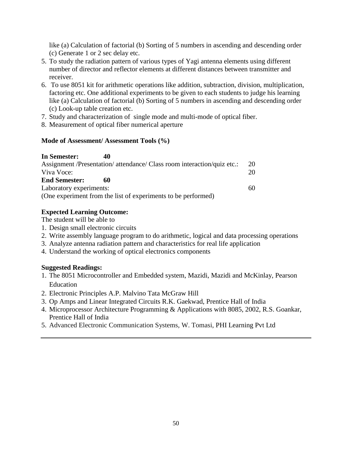like (a) Calculation of factorial (b) Sorting of 5 numbers in ascending and descending order (c) Generate 1 or 2 sec delay etc.

- 5. To study the radiation pattern of various types of Yagi antenna elements using different number of director and reflector elements at different distances between transmitter and receiver.
- 6. To use 8051 kit for arithmetic operations like addition, subtraction, division, multiplication, factoring etc. One additional experiments to be given to each students to judge his learning like (a) Calculation of factorial (b) Sorting of 5 numbers in ascending and descending order (c) Look-up table creation etc.
- 7. Study and characterization of single mode and multi-mode of optical fiber.
- 8. Measurement of optical fiber numerical aperture

# **Mode of Assessment/ Assessment Tools (%)**

| In Semester:            | 40 |                                                                         |    |
|-------------------------|----|-------------------------------------------------------------------------|----|
|                         |    | Assignment /Presentation/ attendance/ Class room interaction/quiz etc.: | 20 |
| Viva Voce:              |    |                                                                         | 20 |
| <b>End Semester:</b>    | 60 |                                                                         |    |
| Laboratory experiments: |    |                                                                         | 60 |
|                         |    | (One experiment from the list of experiments to be performed)           |    |

# **Expected Learning Outcome:**

The student will be able to

- 1. Design small electronic circuits
- 2. Write assembly language program to do arithmetic, logical and data processing operations
- 3. Analyze antenna radiation pattern and characteristics for real life application
- 4. Understand the working of optical electronics components

# **Suggested Readings:**

- 1. The 8051 Microcontroller and Embedded system, Mazidi, Mazidi and McKinlay, Pearson Education
- 2. Electronic Principles A.P. Malvino Tata McGraw Hill
- 3. Op Amps and Linear Integrated Circuits R.K. Gaekwad, Prentice Hall of India
- 4. Microprocessor Architecture Programming & Applications with 8085, 2002, R.S. Goankar, Prentice Hall of India
- 5. Advanced Electronic Communication Systems, W. Tomasi, PHI Learning Pvt Ltd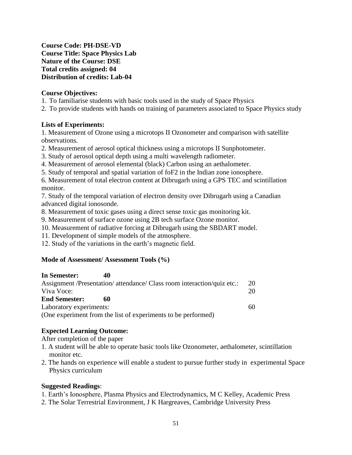**Course Code: PH-DSE-VD Course Title: Space Physics Lab Nature of the Course: DSE Total credits assigned: 04 Distribution of credits: Lab-04**

## **Course Objectives:**

- 1. To familiarise students with basic tools used in the study of Space Physics
- 2. To provide students with hands on training of parameters associated to Space Physics study

## **Lists of Experiments:**

1. Measurement of Ozone using a microtops II Ozonometer and comparison with satellite observations.

- 2. Measurement of aerosol optical thickness using a microtops II Sunphotometer.
- 3. Study of aerosol optical depth using a multi wavelength radiometer.
- 4. Measurement of aerosol elemental (black) Carbon using an aethalometer.
- 5. Study of temporal and spatial variation of foF2 in the Indian zone ionosphere.

6. Measurement of total electron content at Dibrugarh using a GPS TEC and scintillation monitor.

7. Study of the temporal variation of electron density over Dibrugarh using a Canadian advanced digital ionosonde.

- 8. Measurement of toxic gases using a direct sense toxic gas monitoring kit.
- 9. Measurement of surface ozone using 2B tech surface Ozone monitor.
- 10. Measurement of radiative forcing at Dibrugarh using the SBDART model.
- 11. Development of simple models of the atmosphere.
- 12. Study of the variations in the earth's magnetic field.

## **Mode of Assessment/ Assessment Tools (%)**

| In Semester:            |                                                                         |    |
|-------------------------|-------------------------------------------------------------------------|----|
|                         | Assignment /Presentation/ attendance/ Class room interaction/quiz etc.: | 20 |
| Viva Voce:              |                                                                         | 20 |
| <b>End Semester:</b>    | 60                                                                      |    |
| Laboratory experiments: |                                                                         | 60 |
|                         | (One experiment from the list of experiments to be performed)           |    |

# **Expected Learning Outcome:**

After completion of the paper

- 1. A student will be able to operate basic tools like Ozonometer, aethalometer, scintillation monitor etc.
- 2. The hands on experience will enable a student to pursue further study in experimental Space Physics curriculum

## **Suggested Readings**:

- 1. Earth's Ionosphere, Plasma Physics and Electrodynamics, M C Kelley, Academic Press
- 2. The Solar Terrestrial Environment, J K Hargreaves, Cambridge University Press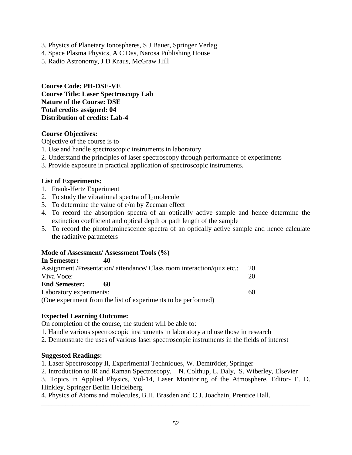- 3. Physics of Planetary Ionospheres, S J Bauer, Springer Verlag
- 4. Space Plasma Physics, A C Das, Narosa Publishing House
- 5. Radio Astronomy, J D Kraus, McGraw Hill

**Course Code: PH-DSE-VE Course Title: Laser Spectroscopy Lab Nature of the Course: DSE Total credits assigned: 04 Distribution of credits: Lab-4**

## **Course Objectives:**

Objective of the course is to

- 1. Use and handle spectroscopic instruments in laboratory
- 2. Understand the principles of laser spectroscopy through performance of experiments
- 3. Provide exposure in practical application of spectroscopic instruments.

## **List of Experiments:**

- 1. Frank-Hertz Experiment
- 2. To study the vibrational spectra of  $I_2$  molecule
- 3. To determine the value of e/m by Zeeman effect
- 4. To record the absorption spectra of an optically active sample and hence determine the extinction coefficient and optical depth or path length of the sample
- 5. To record the photoluminescence spectra of an optically active sample and hence calculate the radiative parameters

## **Mode of Assessment/ Assessment Tools (%)**

| In Semester:            | 40                                                                      |    |
|-------------------------|-------------------------------------------------------------------------|----|
|                         | Assignment /Presentation/ attendance/ Class room interaction/quiz etc.: | 20 |
| Viva Voce:              |                                                                         | 20 |
| <b>End Semester:</b>    | 60                                                                      |    |
| Laboratory experiments: |                                                                         | 60 |
|                         | (One experiment from the list of experiments to be performed)           |    |

# **Expected Learning Outcome:**

On completion of the course, the student will be able to:

1. Handle various spectroscopic instruments in laboratory and use those in research

2. Demonstrate the uses of various laser spectroscopic instruments in the fields of interest

## **Suggested Readings:**

1. Laser Spectroscopy II, Experimental Techniques, W. Demtröder, Springer

2. Introduction to IR and Raman Spectroscopy, N. Colthup, L. Daly, S. Wiberley, Elsevier

3. Topics in Applied Physics, Vol-14, Laser Monitoring of the Atmosphere, Editor- E. D. Hinkley, Springer Berlin Heidelberg.

4. Physics of Atoms and molecules, B.H. Brasden and C.J. Joachain, Prentice Hall.

\_\_\_\_\_\_\_\_\_\_\_\_\_\_\_\_\_\_\_\_\_\_\_\_\_\_\_\_\_\_\_\_\_\_\_\_\_\_\_\_\_\_\_\_\_\_\_\_\_\_\_\_\_\_\_\_\_\_\_\_\_\_\_\_\_\_\_\_\_\_\_\_\_\_\_\_\_\_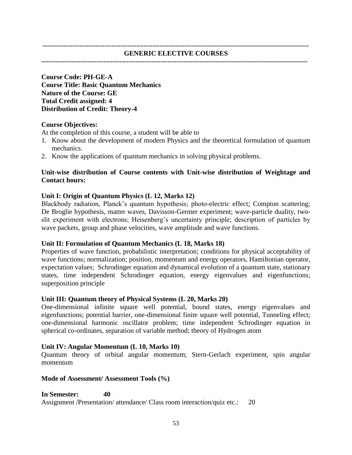#### **-------------------------------------------------------------------------------------------------------------------- GENERIC ELECTIVE COURSES**

## **--------------------------------------------------------------------------------------------------------------------**

**Course Code: PH-GE-A Course Title: Basic Quantum Mechanics Nature of the Course: GE Total Credit assigned: 4 Distribution of Credit: Theory-4** 

#### **Course Objectives:**

At the completion of this course, a student will be able to

- 1. Know about the development of modern Physics and the theoretical formulation of quantum mechanics.
- 2. Know the applications of quantum mechanics in solving physical problems.

## **Unit-wise distribution of Course contents with Unit-wise distribution of Weightage and Contact hours:**

## **Unit I: Origin of Quantum Physics (L 12, Marks 12)**

Blackbody radiation, Planck's quantum hypothesis; photo-electric effect; Compton scattering; De Broglie hypothesis, matter waves, Davisson-Germer experiment; wave-particle duality, twoslit experiment with electrons; Heisenberg's uncertainty principle; description of particles by wave packets, group and phase velocities, wave amplitude and wave functions.

#### **Unit II: Formulation of Quantum Mechanics (L 18, Marks 18)**

Properties of wave function, probabilistic interpretation; conditions for physical acceptability of wave functions; normalization; position, momentum and energy operators, Hamiltonian operator, expectation values; Schrodinger equation and dynamical evolution of a quantum state, stationary states, time independent Schrodinger equation, energy eigenvalues and eigenfunctions; superposition principle

## **Unit III: Quantum theory of Physical Systems (L 20, Marks 20)**

One-dimensional infinite square well potential, bound states, energy eigenvalues and eigenfunctions; potential barrier, one-dimensional finite square well potential, Tunneling effect; one-dimensional harmonic oscillator problem; time independent Schrodinger equation in spherical co-ordinates, separation of variable method; theory of Hydrogen atom

#### **Unit IV: Angular Momentum (L 10, Marks 10)**

Quantum theory of orbital angular momentum; Stern-Gerlach experiment, spin angular momentum

#### **Mode of Assessment/ Assessment Tools (%)**

**In Semester: 40**  Assignment /Presentation/ attendance/ Class room interaction/quiz etc.: 20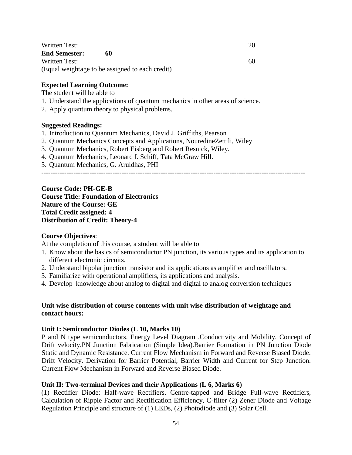| Written Test:        |                                                 | 20 |
|----------------------|-------------------------------------------------|----|
| <b>End Semester:</b> | 60                                              |    |
| Written Test:        |                                                 | 60 |
|                      | (Equal weightage to be assigned to each credit) |    |

#### **Expected Learning Outcome:**

The student will be able to

- 1. Understand the applications of quantum mechanics in other areas of science.
- 2. Apply quantum theory to physical problems.

#### **Suggested Readings:**

- 1. Introduction to Quantum Mechanics, David J. Griffiths, Pearson
- 2. Quantum Mechanics Concepts and Applications, NouredineZettili, Wiley
- 3. Quantum Mechanics, Robert Eisberg and Robert Resnick, Wiley.
- 4. Quantum Mechanics, Leonard I. Schiff, Tata McGraw Hill.
- 5. Quantum Mechanics, G. Aruldhas, PHI

-------------------------------------------------------------------------------------------------------------------

**Course Code: PH-GE-B Course Title: Foundation of Electronics Nature of the Course: GE Total Credit assigned: 4 Distribution of Credit: Theory-4**

#### **Course Objectives**:

At the completion of this course, a student will be able to

- 1. Know about the basics of semiconductor PN junction, its various types and its application to different electronic circuits.
- 2. Understand bipolar junction transistor and its applications as amplifier and oscillators.
- 3. Familiarize with operational amplifiers, its applications and analysis.
- 4. Develop knowledge about analog to digital and digital to analog conversion techniques

#### **Unit wise distribution of course contents with unit wise distribution of weightage and contact hours:**

#### **Unit I: Semiconductor Diodes (L 10, Marks 10)**

P and N type semiconductors. Energy Level Diagram .Conductivity and Mobility, Concept of Drift velocity.PN Junction Fabrication (Simple Idea).Barrier Formation in PN Junction Diode Static and Dynamic Resistance. Current Flow Mechanism in Forward and Reverse Biased Diode. Drift Velocity. Derivation for Barrier Potential, Barrier Width and Current for Step Junction. Current Flow Mechanism in Forward and Reverse Biased Diode.

#### **Unit II: Two-terminal Devices and their Applications (L 6, Marks 6)**

(1) Rectifier Diode: Half-wave Rectifiers. Centre-tapped and Bridge Full-wave Rectifiers, Calculation of Ripple Factor and Rectification Efficiency, C-filter (2) Zener Diode and Voltage Regulation Principle and structure of (1) LEDs, (2) Photodiode and (3) Solar Cell.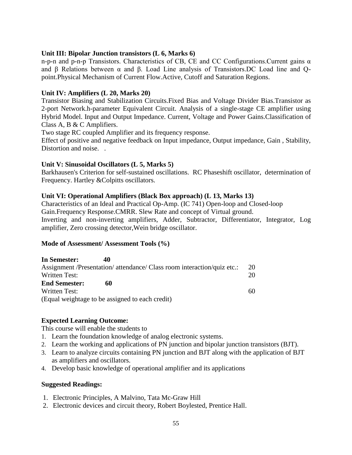## **Unit III: Bipolar Junction transistors (L 6, Marks 6)**

n-p-n and p-n-p Transistors. Characteristics of CB, CE and CC Configurations.Current gains α and β Relations between α and β. Load Line analysis of Transistors.DC Load line and Qpoint.Physical Mechanism of Current Flow.Active, Cutoff and Saturation Regions.

## **Unit IV: Amplifiers (L 20, Marks 20)**

Transistor Biasing and Stabilization Circuits.Fixed Bias and Voltage Divider Bias.Transistor as 2-port Network.h-parameter Equivalent Circuit. Analysis of a single-stage CE amplifier using Hybrid Model. Input and Output Impedance. Current, Voltage and Power Gains.Classification of Class A, B & C Amplifiers.

Two stage RC coupled Amplifier and its frequency response.

Effect of positive and negative feedback on Input impedance, Output impedance, Gain , Stability, Distortion and noise. .

## **Unit V: Sinusoidal Oscillators (L 5, Marks 5)**

Barkhausen's Criterion for self-sustained oscillations. RC Phaseshift oscillator, determination of Frequency. Hartley &Colpitts oscillators.

## **Unit VI: Operational Amplifiers (Black Box approach) (L 13, Marks 13)**

Characteristics of an Ideal and Practical Op-Amp. (IC 741) Open-loop and Closed-loop Gain.Frequency Response.CMRR. Slew Rate and concept of Virtual ground. Inverting and non-inverting amplifiers, Adder, Subtractor, Differentiator, Integrator, Log amplifier, Zero crossing detector,Wein bridge oscillator.

## **Mode of Assessment/ Assessment Tools (%)**

| In Semester:         | 40                                                                      |    |
|----------------------|-------------------------------------------------------------------------|----|
|                      | Assignment /Presentation/ attendance/ Class room interaction/quiz etc.: | 20 |
| Written Test:        |                                                                         | 20 |
| <b>End Semester:</b> | 60                                                                      |    |
| Written Test:        |                                                                         | 60 |
|                      | (Equal weightage to be assigned to each credit)                         |    |

# **Expected Learning Outcome:**

This course will enable the students to

- 1. Learn the foundation knowledge of analog electronic systems.
- 2. Learn the working and applications of PN junction and bipolar junction transistors (BJT).
- 3. Learn to analyze circuits containing PN junction and BJT along with the application of BJT as amplifiers and oscillators.
- 4. Develop basic knowledge of operational amplifier and its applications

## **Suggested Readings:**

- 1. Electronic Principles, A Malvino, Tata Mc-Graw Hill
- 2. Electronic devices and circuit theory, Robert Boylested, Prentice Hall.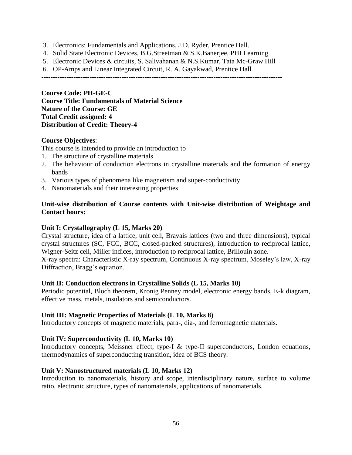- 3. Electronics: Fundamentals and Applications, J.D. Ryder, Prentice Hall.
- 4. Solid State Electronic Devices, B.G.Streetman & S.K.Banerjee, PHI Learning
- 5. Electronic Devices & circuits, S. Salivahanan & N.S.Kumar, Tata Mc-Graw Hill
- 6. OP-Amps and Linear Integrated Circuit, R. A. Gayakwad, Prentice Hall

---------------------------------------------------------------------------------------------------------

**Course Code: PH-GE-C Course Title: Fundamentals of Material Science Nature of the Course: GE Total Credit assigned: 4 Distribution of Credit: Theory-4**

## **Course Objectives**:

This course is intended to provide an introduction to

- 1. The structure of crystalline materials
- 2. The behaviour of conduction electrons in crystalline materials and the formation of energy bands
- 3. Various types of phenomena like magnetism and super-conductivity
- 4. Nanomaterials and their interesting properties

## **Unit-wise distribution of Course contents with Unit-wise distribution of Weightage and Contact hours:**

## **Unit I: Crystallography (L 15, Marks 20)**

Crystal structure, idea of a lattice, unit cell, Bravais lattices (two and three dimensions), typical crystal structures (SC, FCC, BCC, closed-packed structures), introduction to reciprocal lattice, Wigner-Seitz cell, Miller indices, introduction to reciprocal lattice, Brillouin zone.

X-ray spectra: Characteristic X-ray spectrum, Continuous X-ray spectrum, Moseley's law, X-ray Diffraction, Bragg's equation.

#### **Unit II: Conduction electrons in Crystalline Solids (L 15, Marks 10)**

Periodic potential, Bloch theorem, Kronig Penney model, electronic energy bands, E-k diagram, effective mass, metals, insulators and semiconductors.

## **Unit III: Magnetic Properties of Materials (L 10, Marks 8)**

Introductory concepts of magnetic materials, para-, dia-, and ferromagnetic materials.

## **Unit IV: Superconductivity (L 10, Marks 10)**

Introductory concepts, Meissner effect, type-I & type-II superconductors, London equations, thermodynamics of superconducting transition, idea of BCS theory.

## **Unit V: Nanostructured materials (L 10, Marks 12)**

Introduction to nanomaterials, history and scope, interdisciplinary nature, surface to volume ratio, electronic structure, types of nanomaterials, applications of nanomaterials.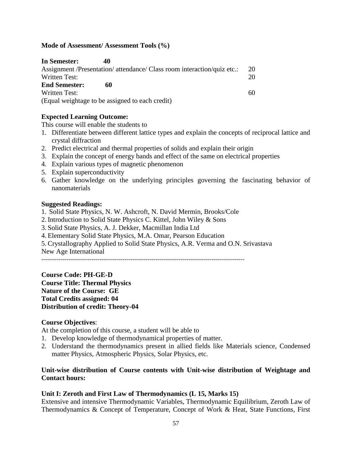## **Mode of Assessment/ Assessment Tools (%)**

| In Semester:         | 40                                                                      |    |
|----------------------|-------------------------------------------------------------------------|----|
|                      | Assignment /Presentation/ attendance/ Class room interaction/quiz etc.: | 20 |
| Written Test:        |                                                                         | 20 |
| <b>End Semester:</b> | 60                                                                      |    |
| Written Test:        |                                                                         | 60 |
|                      | (Equal weightage to be assigned to each credit)                         |    |

## **Expected Learning Outcome:**

This course will enable the students to

- 1. Differentiate between different lattice types and explain the concepts of reciprocal lattice and crystal diffraction
- 2. Predict electrical and thermal properties of solids and explain their origin
- 3. Explain the concept of energy bands and effect of the same on electrical properties
- 4. Explain various types of magnetic phenomenon
- 5. Explain superconductivity
- 6. Gather knowledge on the underlying principles governing the fascinating behavior of nanomaterials

## **Suggested Readings:**

- 1. Solid State Physics, N. W. Ashcroft, N. David Mermin, Brooks/Cole
- 2. Introduction to Solid State Physics C. Kittel, John Wiley & Sons
- 3. Solid State Physics, A. J. Dekker, Macmillan India Ltd
- 4. Elementary Solid State Physics, M.A. Omar, Pearson Education

5. Crystallography Applied to Solid State Physics, A.R. Verma and O.N. Srivastava

New Age International

---------------------------------------------------------------------------------------------------------

**Course Code: PH-GE-D Course Title: Thermal Physics Nature of the Course: GE Total Credits assigned: 04 Distribution of credit: Theory-04**

# **Course Objectives**:

At the completion of this course, a student will be able to

- 1. Develop knowledge of thermodynamical properties of matter.
- 2. Understand the thermodynamics present in allied fields like Materials science, Condensed matter Physics, Atmospheric Physics, Solar Physics, etc.

## **Unit-wise distribution of Course contents with Unit-wise distribution of Weightage and Contact hours:**

## **Unit I: Zeroth and First Law of Thermodynamics (L 15, Marks 15)**

Extensive and intensive Thermodynamic Variables, Thermodynamic Equilibrium, Zeroth Law of Thermodynamics & Concept of Temperature, Concept of Work & Heat, State Functions, First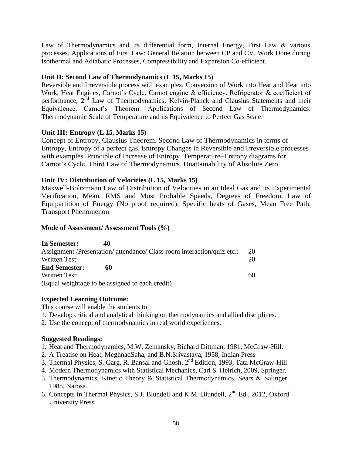Law of Thermodynamics and its differential form, Internal Energy, First Law & various processes, Applications of First Law: General Relation between CP and CV, Work Done during Isothermal and Adiabatic Processes, Compressibility and Expansion Co-efficient.

# **Unit II: Second Law of Thermodynamics (L 15, Marks 15)**

Reversible and Irreversible process with examples, Conversion of Work into Heat and Heat into Work, Heat Engines, Carnot's Cycle, Carnot engine & efficiency. Refrigerator & coefficient of performance,  $2^{\overline{nd}}$  Law of Thermodynamics: Kelvin-Planck and Clausius Statements and their Equivalence. Carnot's Theorem. Applications of Second Law of Thermodynamics: Thermodynamic Scale of Temperature and its Equivalence to Perfect Gas Scale.

# **Unit III: Entropy (L 15, Marks 15)**

Concept of Entropy, Clausius Theorem. Second Law of Thermodynamics in terms of Entropy, Entropy of a perfect gas, Entropy Changes in Reversible and Irreversible processes with examples. Principle of Increase of Entropy. Temperature–Entropy diagrams for Carnot's Cycle. Third Law of Thermodynamics. Unattainability of Absolute Zero.

# **Unit IV: Distribution of Velocities (L 15, Marks 15)**

Maxwell-Boltzmann Law of Distribution of Velocities in an Ideal Gas and its Experimental Verification, Mean, RMS and Most Probable Speeds, Degrees of Freedom, Law of Equipartition of Energy (No proof required). Specific heats of Gases, Mean Free Path. Transport Phenomenon

## **Mode of Assessment/ Assessment Tools (%)**

| In Semester:         | 40                                                                      |    |
|----------------------|-------------------------------------------------------------------------|----|
|                      | Assignment /Presentation/ attendance/ Class room interaction/quiz etc.: | 20 |
| Written Test:        |                                                                         | 20 |
| <b>End Semester:</b> | 60                                                                      |    |
| <b>Written Test:</b> |                                                                         | 60 |
|                      | (Equal weightage to be assigned to each credit)                         |    |

# **Expected Learning Outcome:**

This course will enable the students to

- 1. Develop critical and analytical thinking on thermodynamics and allied disciplines.
- 2. Use the concept of thermodynamics in real world experiences.

# **Suggested Readings:**

- 1. Heat and Thermodynamics, M.W. Zemansky, Richard Dittman, 1981, McGraw-Hill.
- 2. A Treatise on Heat, MeghnadSaha, and B.N.Srivastava, 1958, Indian Press
- 3. Thermal Physics, S. Garg, R. Bansal and Ghosh, 2<sup>nd</sup> Edition, 1993, Tata McGraw-Hill
- 4. Modern Thermodynamics with Statistical Mechanics, Carl S. Helrich, 2009, Springer.
- 5. Thermodynamics, Kinetic Theory & Statistical Thermodynamics, Sears & Salinger. 1988, Narosa.
- 6. Concepts in Thermal Physics, S.J. Blundell and K.M. Blundell, 2nd Ed., 2012, Oxford University Press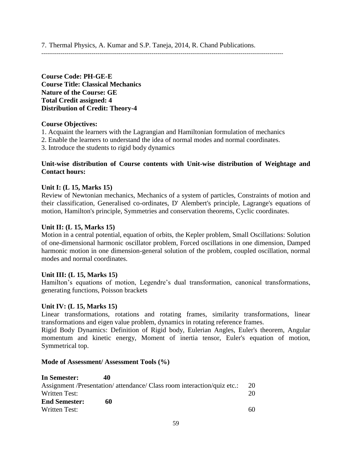7. Thermal Physics, A. Kumar and S.P. Taneja, 2014, R. Chand Publications.

-----------------------------------------------------------------------------------------------------------------------------

**Course Code: PH-GE-E Course Title: Classical Mechanics Nature of the Course: GE Total Credit assigned: 4 Distribution of Credit: Theory-4**

## **Course Objectives:**

- 1. Acquaint the learners with the Lagrangian and Hamiltonian formulation of mechanics
- 2. Enable the learners to understand the idea of normal modes and normal coordinates.
- 3. Introduce the students to rigid body dynamics

## **Unit-wise distribution of Course contents with Unit-wise distribution of Weightage and Contact hours:**

#### **Unit I: (L 15, Marks 15)**

Review of Newtonian mechanics, Mechanics of a system of particles, Constraints of motion and their classification, Generalised co-ordinates, D' Alembert's principle, Lagrange's equations of motion, Hamilton's principle, Symmetries and conservation theorems, Cyclic coordinates.

#### **Unit II: (L 15, Marks 15)**

Motion in a central potential, equation of orbits, the Kepler problem, Small Oscillations: Solution of one-dimensional harmonic oscillator problem, Forced oscillations in one dimension, Damped harmonic motion in one dimension-general solution of the problem, coupled oscillation, normal modes and normal coordinates.

#### **Unit III: (L 15, Marks 15)**

Hamilton's equations of motion, Legendre's dual transformation, canonical transformations, generating functions, Poisson brackets

#### **Unit IV: (L 15, Marks 15)**

Linear transformations, rotations and rotating frames, similarity transformations, linear transformations and eigen value problem, dynamics in rotating reference frames.

Rigid Body Dynamics: Definition of Rigid body, Eulerian Angles, Euler's theorem, Angular momentum and kinetic energy, Moment of inertia tensor, Euler's equation of motion, Symmetrical top.

#### **Mode of Assessment/ Assessment Tools (%)**

| In Semester:         | 40                                                                      |    |
|----------------------|-------------------------------------------------------------------------|----|
|                      | Assignment /Presentation/ attendance/ Class room interaction/quiz etc.: | 20 |
| Written Test:        |                                                                         | 20 |
| <b>End Semester:</b> | 60                                                                      |    |
| Written Test:        |                                                                         | 60 |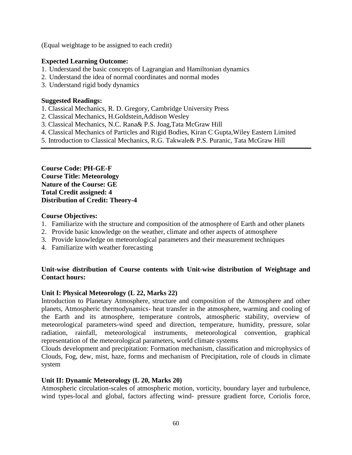(Equal weightage to be assigned to each credit)

## **Expected Learning Outcome:**

- 1. Understand the basic concepts of Lagrangian and Hamiltonian dynamics
- 2. Understand the idea of normal coordinates and normal modes
- 3. Understand rigid body dynamics

## **Suggested Readings:**

- 1. Classical Mechanics, R. D. Gregory, Cambridge University Press
- 2. Classical Mechanics, H.Goldstein,Addison Wesley
- 3. Classical Mechanics, N.C. Rana& P.S. Joag,Tata McGraw Hill
- 4. Classical Mechanics of Particles and Rigid Bodies, Kiran C Gupta,Wiley Eastern Limited
- 5. Introduction to Classical Mechanics, R.G. Takwale& P.S. Puranic, Tata McGraw Hill

**Course Code: PH-GE-F Course Title: Meteorology Nature of the Course: GE Total Credit assigned: 4 Distribution of Credit: Theory-4** 

## **Course Objectives:**

- 1. Familiarize with the structure and composition of the atmosphere of Earth and other planets
- 2. Provide basic knowledge on the weather, climate and other aspects of atmosphere
- 3. Provide knowledge on meteorological parameters and their measurement techniques
- 4. Familiarize with weather forecasting

# **Unit-wise distribution of Course contents with Unit-wise distribution of Weightage and Contact hours:**

## **Unit I: Physical Meteorology (L 22, Marks 22)**

Introduction to Planetary Atmosphere, structure and composition of the Atmosphere and other planets, Atmospheric thermodynamics- heat transfer in the atmosphere, warming and cooling of the Earth and its atmosphere, temperature controls, atmospheric stability, overview of meteorological parameters-wind speed and direction, temperature, humidity, pressure, solar radiation, rainfall, meteorological instruments, meteorological convention, graphical representation of the meteorological parameters, world climate systems

Clouds development and precipitation: Formation mechanism, classification and microphysics of Clouds, Fog, dew, mist, haze, forms and mechanism of Precipitation, role of clouds in climate system

## **Unit II: Dynamic Meteorology (L 20, Marks 20)**

Atmospheric circulation-scales of atmospheric motion, vorticity, boundary layer and turbulence, wind types-local and global, factors affecting wind- pressure gradient force, Coriolis force,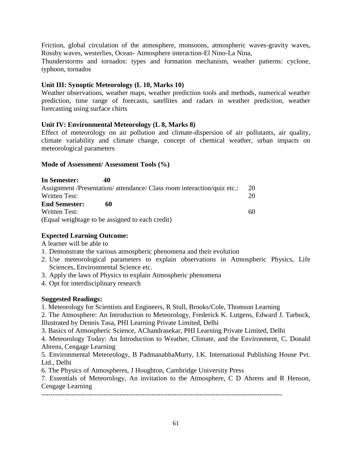Friction, global circulation of the atmosphere, monsoons, atmospheric waves-gravity waves, Rossby waves, westerlies, Ocean- Atmosphere interaction-El Nino-La Nina,

Thunderstorms and tornados: types and formation mechanism, weather patterns: cyclone, typhoon, tornados

# **Unit III: Synoptic Meteorology (L 10, Marks 10)**

Weather observations, weather maps, weather prediction tools and methods, numerical weather prediction, time range of forecasts, satellites and radars in weather prediction, weather forecasting using surface chirts

## **Unit IV: Environmental Meteorology (L 8, Marks 8)**

Effect of meteorology on air pollution and climate-dispersion of air pollutants, air quality, climate variability and climate change, concept of chemical weather, urban impacts on meteorological parameters

## **Mode of Assessment/ Assessment Tools (%)**

| In Semester:         | 40                                                                      |    |
|----------------------|-------------------------------------------------------------------------|----|
|                      | Assignment /Presentation/ attendance/ Class room interaction/quiz etc.: | 20 |
| Written Test:        |                                                                         | 20 |
| <b>End Semester:</b> | 60                                                                      |    |
| Written Test:        |                                                                         | 60 |
|                      | (Equal weightage to be assigned to each credit)                         |    |

## **Expected Learning Outcome:**

A learner will be able to

- 1. Demonstrate the various atmospheric phenomena and their evolution
- 2. Use meteorological parameters to explain observations in Atmospheric Physics, Life Sciences, Environmental Science etc.
- 3. Apply the laws of Physics to explain Atmospheric phenomena
- 4. Opt for interdisciplinary research

# **Suggested Readings:**

1. Meteorology for Scientists and Engineers, R Stull, Brooks/Cole, Thomson Learning

2. The Atmosphere: An Introduction to Meteorology, Frederick K. Lutgens, Edward J. Tarbuck, Illustrated by Dennis Tasa, PHI Learning Private Limited, Delhi

3. Basics of Atmospheric Science, AChandrasekar, PHI Learning Private Limited, Delhi

4. Meteorology Today: An Introduction to Weather, Climate, and the Environment, C. Donald Ahrens, Cengage Learning

5. Environmental Meteorology, B PadmanabhaMurty, I.K. International Publishing House Pvt. Ltd., Delhi

6. The Physics of Atmospheres, J Houghton, Cambridge University Press

7. Essentials of Meteorology, An invitation to the Atmosphere, C D Ahrens and R Henson, Cengage Learning

---------------------------------------------------------------------------------------------------------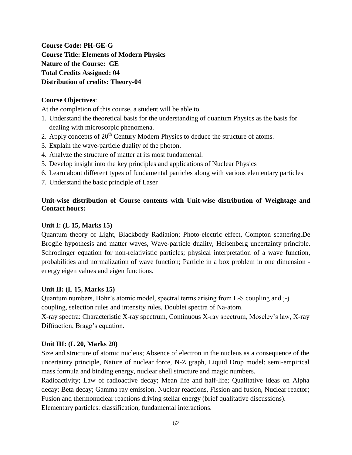**Course Code: PH-GE-G Course Title: Elements of Modern Physics Nature of the Course: GE Total Credits Assigned: 04 Distribution of credits: Theory-04**

# **Course Objectives**:

At the completion of this course, a student will be able to

- 1. Understand the theoretical basis for the understanding of quantum Physics as the basis for dealing with microscopic phenomena.
- 2. Apply concepts of  $20<sup>th</sup>$  Century Modern Physics to deduce the structure of atoms.
- 3. Explain the wave-particle duality of the photon.
- 4. Analyze the structure of matter at its most fundamental.
- 5. Develop insight into the key principles and applications of Nuclear Physics
- 6. Learn about different types of fundamental particles along with various elementary particles
- 7. Understand the basic principle of Laser

# **Unit-wise distribution of Course contents with Unit-wise distribution of Weightage and Contact hours:**

## **Unit I: (L 15, Marks 15)**

Quantum theory of Light, Blackbody Radiation; Photo-electric effect, Compton scattering.De Broglie hypothesis and matter waves, Wave-particle duality, Heisenberg uncertainty principle. Schrodinger equation for non-relativistic particles; physical interpretation of a wave function, probabilities and normalization of wave function; Particle in a box problem in one dimension energy eigen values and eigen functions.

## **Unit II: (L 15, Marks 15)**

Quantum numbers, Bohr's atomic model, spectral terms arising from L-S coupling and j-j coupling, selection rules and intensity rules, Doublet spectra of Na-atom.

X-ray spectra: Characteristic X-ray spectrum, Continuous X-ray spectrum, Moseley's law, X-ray Diffraction, Bragg's equation.

## **Unit III: (L 20, Marks 20)**

Size and structure of atomic nucleus; Absence of electron in the nucleus as a consequence of the uncertainty principle, Nature of nuclear force, N-Z graph, Liquid Drop model: semi-empirical mass formula and binding energy, nuclear shell structure and magic numbers.

Radioactivity; Law of radioactive decay; Mean life and half-life; Qualitative ideas on Alpha decay; Beta decay; Gamma ray emission. Nuclear reactions, Fission and fusion, Nuclear reactor; Fusion and thermonuclear reactions driving stellar energy (brief qualitative discussions). Elementary particles: classification, fundamental interactions.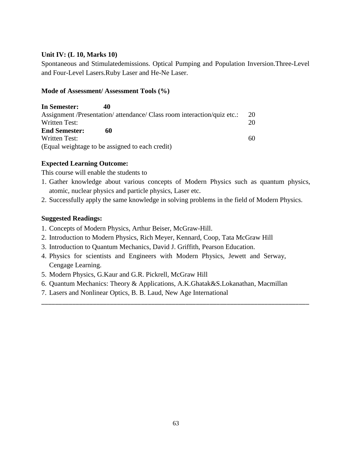## **Unit IV: (L 10, Marks 10)**

Spontaneous and Stimulatedemissions. Optical Pumping and Population Inversion.Three-Level and Four-Level Lasers.Ruby Laser and He-Ne Laser.

## **Mode of Assessment/ Assessment Tools (%)**

| In Semester:         | 40                                                                      |    |
|----------------------|-------------------------------------------------------------------------|----|
|                      | Assignment /Presentation/ attendance/ Class room interaction/quiz etc.: | 20 |
| Written Test:        |                                                                         | 20 |
| <b>End Semester:</b> | 60                                                                      |    |
| Written Test:        |                                                                         | 60 |
|                      | (Equal weightage to be assigned to each credit)                         |    |

# **Expected Learning Outcome:**

This course will enable the students to

- 1. Gather knowledge about various concepts of Modern Physics such as quantum physics, atomic, nuclear physics and particle physics, Laser etc.
- 2. Successfully apply the same knowledge in solving problems in the field of Modern Physics.

## **Suggested Readings:**

- 1. Concepts of Modern Physics, Arthur Beiser, McGraw-Hill.
- 2. Introduction to Modern Physics, Rich Meyer, Kennard, Coop, Tata McGraw Hill
- 3. Introduction to Quantum Mechanics, David J. Griffith, Pearson Education.
- 4. Physics for scientists and Engineers with Modern Physics, Jewett and Serway, Cengage Learning.
- 5. Modern Physics, G.Kaur and G.R. Pickrell, McGraw Hill
- 6. Quantum Mechanics: Theory & Applications, A.K.Ghatak&S.Lokanathan, Macmillan

\_\_\_\_\_\_\_\_\_\_\_\_\_\_\_\_\_\_\_\_\_\_\_\_\_\_\_\_\_\_\_\_\_\_\_\_\_\_\_\_\_\_\_\_\_\_\_\_\_\_\_\_\_\_\_\_\_\_\_\_\_\_\_\_\_\_\_\_\_\_\_\_\_\_\_\_\_\_

7. Lasers and Nonlinear Optics, B. B. Laud, New Age International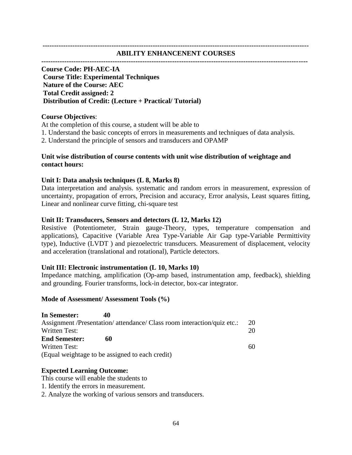#### **-------------------------------------------------------------------------------------------------------------------- ABILITY ENHANCENENT COURSES**

#### **--------------------------------------------------------------------------------------------------------------------**

## **Course Code: PH-AEC-IA Course Title: Experimental Techniques Nature of the Course: AEC Total Credit assigned: 2 Distribution of Credit: (Lecture + Practical/ Tutorial)**

#### **Course Objectives**:

At the completion of this course, a student will be able to

- 1. Understand the basic concepts of errors in measurements and techniques of data analysis.
- 2. Understand the principle of sensors and transducers and OPAMP

## **Unit wise distribution of course contents with unit wise distribution of weightage and contact hours:**

#### **Unit I: Data analysis techniques (L 8, Marks 8)**

Data interpretation and analysis. systematic and random errors in measurement, expression of uncertainty, propagation of errors, Precision and accuracy, Error analysis, Least squares fitting, Linear and nonlinear curve fitting, chi-square test

#### **Unit II: Transducers, Sensors and detectors (L 12, Marks 12)**

Resistive (Potentiometer, Strain gauge-Theory, types, temperature compensation and applications), Capacitive (Variable Area Type-Variable Air Gap type-Variable Permittivity type), Inductive (LVDT ) and piezoelectric transducers. Measurement of displacement, velocity and acceleration (translational and rotational), Particle detectors.

#### **Unit III: Electronic instrumentation (L 10, Marks 10)**

Impedance matching, amplification (Op-amp based, instrumentation amp, feedback), shielding and grounding. Fourier transforms, lock-in detector, box-car integrator.

#### **Mode of Assessment/ Assessment Tools (%)**

| In Semester:         | 40                                                                      |    |
|----------------------|-------------------------------------------------------------------------|----|
|                      | Assignment /Presentation/ attendance/ Class room interaction/quiz etc.: | 20 |
| Written Test:        |                                                                         | 20 |
| <b>End Semester:</b> | 60                                                                      |    |
| Written Test:        |                                                                         | 60 |
|                      | (Equal weightage to be assigned to each credit)                         |    |

#### **Expected Learning Outcome:**

- This course will enable the students to
- 1. Identify the errors in measurement.

2. Analyze the working of various sensors and transducers.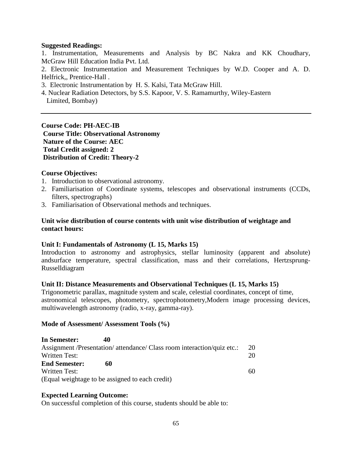## **Suggested Readings:**

1. Instrumentation, Measurements and Analysis by BC Nakra and KK Choudhary, McGraw Hill Education India Pvt. Ltd.

2. Electronic Instrumentation and Measurement Techniques by W.D. Cooper and A. D. Helfrick,, Prentice-Hall .

- 3. Electronic Instrumentation by H. S. Kalsi, Tata McGraw Hill.
- 4. Nuclear Radiation Detectors, by S.S. Kapoor, V. S. Ramamurthy, Wiley-Eastern Limited, Bombay)

**Course Code: PH-AEC-IB Course Title: Observational Astronomy Nature of the Course: AEC Total Credit assigned: 2 Distribution of Credit: Theory-2**

#### **Course Objectives:**

- 1. Introduction to observational astronomy.
- 2. Familiarisation of Coordinate systems, telescopes and observational instruments (CCDs, filters, spectrographs)
- 3. Familiarisation of Observational methods and techniques.

#### **Unit wise distribution of course contents with unit wise distribution of weightage and contact hours:**

#### **Unit I: Fundamentals of Astronomy (L 15, Marks 15)**

Introduction to astronomy and astrophysics, stellar luminosity (apparent and absolute) andsurface temperature, spectral classification, mass and their correlations, Hertzsprung-Russelldiagram

#### **Unit II: Distance Measurements and Observational Techniques (L 15, Marks 15)**

Trigonometric parallax, magnitude system and scale, celestial coordinates, concept of time, astronomical telescopes, photometry, spectrophotometry,Modern image processing devices, multiwavelength astronomy (radio, x-ray, gamma-ray).

#### **Mode of Assessment/ Assessment Tools (%)**

| In Semester:         | 40                                                                      |    |
|----------------------|-------------------------------------------------------------------------|----|
|                      | Assignment /Presentation/ attendance/ Class room interaction/quiz etc.: | 20 |
| Written Test:        |                                                                         | 20 |
| <b>End Semester:</b> | 60                                                                      |    |
| Written Test:        |                                                                         | 60 |
|                      | (Equal weightage to be assigned to each credit)                         |    |

## **Expected Learning Outcome:**

On successful completion of this course, students should be able to: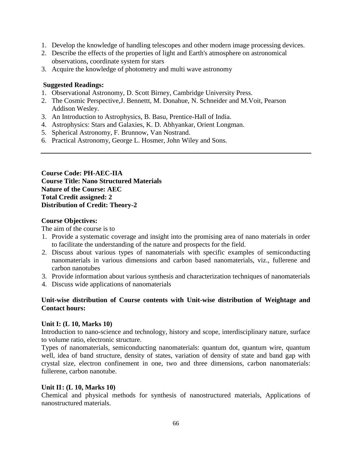- 1. Develop the knowledge of handling telescopes and other modern image processing devices.
- 2. Describe the effects of the properties of light and Earth's atmosphere on astronomical observations, coordinate system for stars
- 3. Acquire the knowledge of photometry and multi wave astronomy

## **Suggested Readings:**

- 1. Observational Astronomy, D. Scott Birney, Cambridge University Press.
- 2. The Cosmic Perspective,J. Bennettt, M. Donahue, N. Schneider and M.Voit, Pearson Addison Wesley.
- 3. An Introduction to Astrophysics, B. Basu, Prentice-Hall of India.
- 4. Astrophysics: Stars and Galaxies, K. D. Abhyankar, Orient Longman.
- 5. Spherical Astronomy, F. Brunnow, Van Nostrand.
- 6. Practical Astronomy, George L. Hosmer, John Wiley and Sons.

**Course Code: PH-AEC-IIA Course Title: Nano Structured Materials Nature of the Course: AEC Total Credit assigned: 2 Distribution of Credit: Theory-2**

## **Course Objectives:**

The aim of the course is to

- 1. Provide a systematic coverage and insight into the promising area of nano materials in order to facilitate the understanding of the nature and prospects for the field.
- 2. Discuss about various types of nanomaterials with specific examples of semiconducting nanomaterials in various dimensions and carbon based nanomaterials, viz., fullerene and carbon nanotubes
- 3. Provide information about various synthesis and characterization techniques of nanomaterials
- 4. Discuss wide applications of nanomaterials

# **Unit-wise distribution of Course contents with Unit-wise distribution of Weightage and Contact hours:**

## **Unit I: (L 10, Marks 10)**

Introduction to nano-science and technology, history and scope, interdisciplinary nature, surface to volume ratio, electronic structure.

Types of nanomaterials, semiconducting nanomaterials: quantum dot, quantum wire, quantum well, idea of band structure, density of states, variation of density of state and band gap with crystal size, electron confinement in one, two and three dimensions, carbon nanomaterials: fullerene, carbon nanotube.

# **Unit II: (L 10, Marks 10)**

Chemical and physical methods for synthesis of nanostructured materials, Applications of nanostructured materials.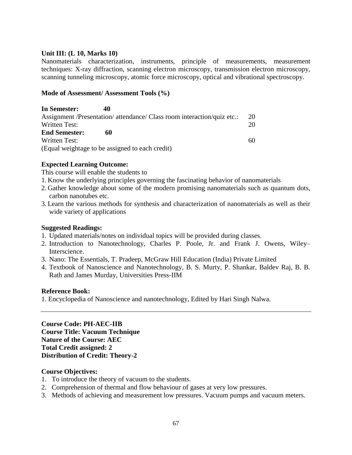## **Unit III: (L 10, Marks 10)**

Nanomaterials characterization, instruments, principle of measurements, measurement techniques: X-ray diffraction, scanning electron microscopy, transmission electron microscopy, scanning tunneling microscopy, atomic force microscopy, optical and vibrational spectroscopy.

## **Mode of Assessment/ Assessment Tools (%)**

| In Semester:         | 40                                                                      |     |
|----------------------|-------------------------------------------------------------------------|-----|
|                      | Assignment /Presentation/ attendance/ Class room interaction/quiz etc.: | 20  |
| Written Test:        |                                                                         | 20  |
| <b>End Semester:</b> | 60                                                                      |     |
| Written Test:        |                                                                         | -60 |
|                      | (Equal weightage to be assigned to each credit)                         |     |

# **Expected Learning Outcome:**

This course will enable the students to

- 1. Know the underlying principles governing the fascinating behavior of nanomaterials
- 2. Gather knowledge about some of the modern promising nanomaterials such as quantum dots, carbon nanotubes etc.
- 3. Learn the various methods for synthesis and characterization of nanomaterials as well as their wide variety of applications

## **Suggested Readings:**

- 1. Updated materials/notes on individual topics will be provided during classes.
- 2. Introduction to Nanotechnology, Charles P. Poole, Jr. and Frank J. Owens, Wiley– Interscience.
- 3. Nano: The Essentials, T. Pradeep, McGraw Hill Education (India) Private Limited
- 4. Textbook of Nanoscience and Nanotechnology, B. S. Murty, P. Shankar, Baldev Raj, B. B. Rath and James Murday, Universities Press-IIM

## **Reference Book:**

1. Encyclopedia of Nanoscience and nanotechnology, Edited by Hari Singh Nalwa.

**Course Code: PH-AEC-IIB Course Title: Vacuum Technique Nature of the Course: AEC Total Credit assigned: 2 Distribution of Credit: Theory-2**

## **Course Objectives:**

- 1. To introduce the theory of vacuum to the students.
- 2. Comprehension of thermal and flow behaviour of gases at very low pressures.
- 3. Methods of achieving and measurement low pressures. Vacuum pumps and vacuum meters.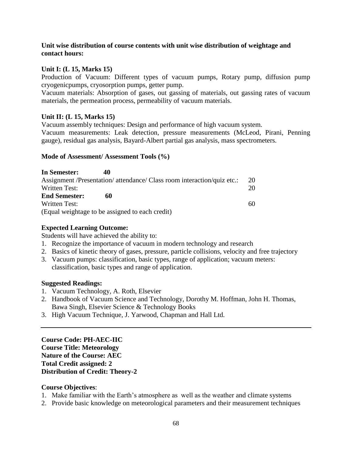## **Unit wise distribution of course contents with unit wise distribution of weightage and contact hours:**

## **Unit I: (L 15, Marks 15)**

Production of Vacuum: Different types of vacuum pumps, Rotary pump, diffusion pump cryogenicpumps, cryosorption pumps, getter pump.

Vacuum materials: Absorption of gases, out gassing of materials, out gassing rates of vacuum materials, the permeation process, permeability of vacuum materials.

## **Unit II: (L 15, Marks 15)**

Vacuum assembly techniques: Design and performance of high vacuum system.

Vacuum measurements: Leak detection, pressure measurements (McLeod, Pirani, Penning gauge), residual gas analysis, Bayard-Albert partial gas analysis, mass spectrometers.

## **Mode of Assessment/ Assessment Tools (%)**

| In Semester:                                    | 40 |                                                                         |    |
|-------------------------------------------------|----|-------------------------------------------------------------------------|----|
|                                                 |    | Assignment /Presentation/ attendance/ Class room interaction/quiz etc.: | 20 |
| Written Test:                                   |    |                                                                         | 20 |
| <b>End Semester:</b>                            | 60 |                                                                         |    |
| <b>Written Test:</b>                            |    |                                                                         | 60 |
| (Equal weightage to be assigned to each credit) |    |                                                                         |    |

## **Expected Learning Outcome:**

Students will have achieved the ability to:

- 1. Recognize the importance of vacuum in modern technology and research
- 2. Basics of kinetic theory of gases, pressure, particle collisions, velocity and free trajectory
- 3. Vacuum pumps: classification, basic types, range of application; vacuum meters: classification, basic types and range of application.

## **Suggested Readings:**

- 1. Vacuum Technology, A. Roth, Elsevier
- 2. Handbook of Vacuum Science and Technology, Dorothy M. Hoffman, John H. Thomas, Bawa Singh, Elsevier Science & Technology Books
- 3. High Vacuum Technique, J. Yarwood, Chapman and Hall Ltd.

**Course Code: PH-AEC-IIC Course Title: Meteorology Nature of the Course: AEC Total Credit assigned: 2 Distribution of Credit: Theory-2**

## **Course Objectives**:

- 1. Make familiar with the Earth's atmosphere as well as the weather and climate systems
- 2. Provide basic knowledge on meteorological parameters and their measurement techniques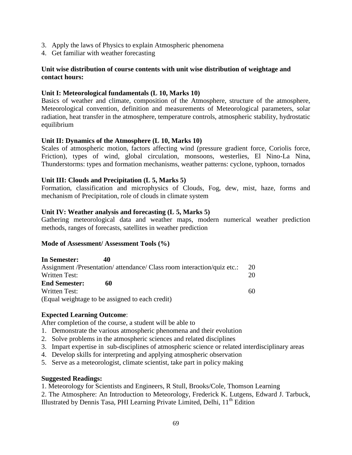- 3. Apply the laws of Physics to explain Atmospheric phenomena
- 4. Get familiar with weather forecasting

## **Unit wise distribution of course contents with unit wise distribution of weightage and contact hours:**

## **Unit I: Meteorological fundamentals (L 10, Marks 10)**

Basics of weather and climate, composition of the Atmosphere, structure of the atmosphere, Meteorological convention, definition and measurements of Meteorological parameters, solar radiation, heat transfer in the atmosphere, temperature controls, atmospheric stability, hydrostatic equilibrium

## **Unit II: Dynamics of the Atmosphere (L 10, Marks 10)**

Scales of atmospheric motion, factors affecting wind (pressure gradient force, Coriolis force, Friction), types of wind, global circulation, monsoons, westerlies, El Nino-La Nina, Thunderstorms: types and formation mechanisms, weather patterns: cyclone, typhoon, tornados

#### **Unit III: Clouds and Precipitation (L 5, Marks 5)**

Formation, classification and microphysics of Clouds, Fog, dew, mist, haze, forms and mechanism of Precipitation, role of clouds in climate system

#### **Unit IV: Weather analysis and forecasting (L 5, Marks 5)**

Gathering meteorological data and weather maps, modern numerical weather prediction methods, ranges of forecasts, satellites in weather prediction

#### **Mode of Assessment/ Assessment Tools (%)**

| In Semester:         | 40                                                                      |    |
|----------------------|-------------------------------------------------------------------------|----|
|                      | Assignment /Presentation/ attendance/ Class room interaction/quiz etc.: | 20 |
| Written Test:        |                                                                         | 20 |
| <b>End Semester:</b> | 60                                                                      |    |
| Written Test:        |                                                                         | 60 |
|                      | (Equal weightage to be assigned to each credit)                         |    |

## **Expected Learning Outcome**:

After completion of the course, a student will be able to

- 1. Demonstrate the various atmospheric phenomena and their evolution
- 2. Solve problems in the atmospheric sciences and related disciplines
- 3. Impart expertise in sub-disciplines of atmospheric science or related interdisciplinary areas
- 4. Develop skills for interpreting and applying atmospheric observation
- 5. Serve as a meteorologist, climate scientist, take part in policy making

#### **Suggested Readings:**

1. Meteorology for Scientists and Engineers, R Stull, Brooks/Cole, Thomson Learning

2. The Atmosphere: An Introduction to Meteorology, Frederick K. Lutgens, Edward J. Tarbuck,

Illustrated by Dennis Tasa, PHI Learning Private Limited, Delhi, 11<sup>th</sup> Edition